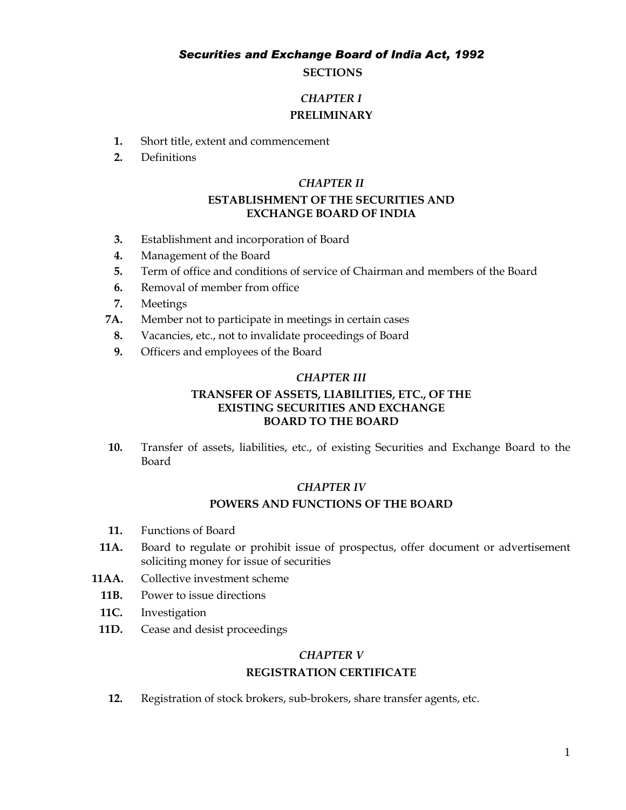#### *Securities and Exchange Board of India Act, 1992*

## **SECTIONS**

## *CHAPTER I* **PRELIMINARY**

- **1.** Short title, extent and commencement
- **2.** Definitions

#### *CHAPTER II*

## **ESTABLISHMENT OF THE SECURITIES AND EXCHANGE BOARD OF INDIA**

- **3.** Establishment and incorporation of Board
- **4.** Management of the Board
- **5.** Term of office and conditions of service of Chairman and members of the Board
- **6.** Removal of member from office
- **7.** Meetings
- **7A.** Member not to participate in meetings in certain cases
	- **8.** Vacancies, etc., not to invalidate proceedings of Board
	- **9.** Officers and employees of the Board

## *CHAPTER III*

## **TRANSFER OF ASSETS, LIABILITIES, ETC., OF THE EXISTING SECURITIES AND EXCHANGE BOARD TO THE BOARD**

**10.** Transfer of assets, liabilities, etc., of existing Securities and Exchange Board to the Board

#### *CHAPTER IV*

#### **POWERS AND FUNCTIONS OF THE BOARD**

- **11.** Functions of Board
- **11A.** Board to regulate or prohibit issue of prospectus, offer document or advertisement soliciting money for issue of securities
- **11AA.** Collective investment scheme
	- **11B.** Power to issue directions
	- **11C.** Investigation
- **11D.** Cease and desist proceedings

#### *CHAPTER V*

## **REGISTRATION CERTIFICATE**

**12.** Registration of stock brokers, sub-brokers, share transfer agents, etc.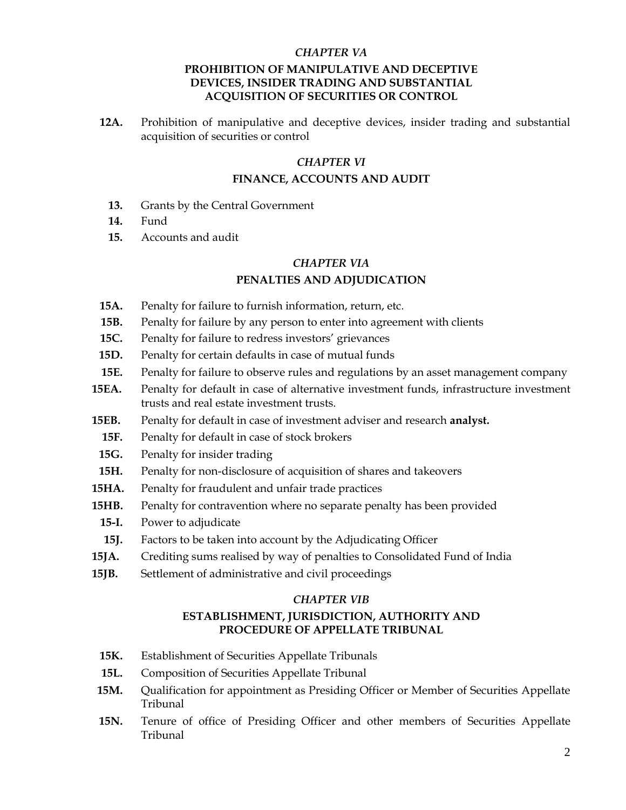## *CHAPTER VA* **PROHIBITION OF MANIPULATIVE AND DECEPTIVE DEVICES, INSIDER TRADING AND SUBSTANTIAL ACQUISITION OF SECURITIES OR CONTROL**

**12A.** Prohibition of manipulative and deceptive devices, insider trading and substantial acquisition of securities or control

### *CHAPTER VI*

### **FINANCE, ACCOUNTS AND AUDIT**

- **13.** Grants by the Central Government
- **14.** Fund
- **15.** Accounts and audit

#### *CHAPTER VIA*

#### **PENALTIES AND ADJUDICATION**

- **15A.** Penalty for failure to furnish information, return, etc*.*
- **15B.** Penalty for failure by any person to enter into agreement with clients
- **15C.** Penalty for failure to redress investors' grievances
- **15D.** Penalty for certain defaults in case of mutual funds
- **15E.** Penalty for failure to observe rules and regulations by an asset management company
- **15EA.** Penalty for default in case of alternative investment funds, infrastructure investment trusts and real estate investment trusts.
- **15EB.** Penalty for default in case of investment adviser and research **analyst.**
- **15F.** Penalty for default in case of stock brokers
- **15G.** Penalty for insider trading
- **15H.** Penalty for non-disclosure of acquisition of shares and takeovers
- **15HA.** Penalty for fraudulent and unfair trade practices
- **15HB.** Penalty for contravention where no separate penalty has been provided
- **15-I.** Power to adjudicate
- **15J.** Factors to be taken into account by the Adjudicating Officer
- **15JA.** Crediting sums realised by way of penalties to Consolidated Fund of India
- **15JB.** Settlement of administrative and civil proceedings

#### *CHAPTER VIB*

### **ESTABLISHMENT, JURISDICTION, AUTHORITY AND PROCEDURE OF APPELLATE TRIBUNAL**

- **15K.** Establishment of Securities Appellate Tribunals
- **15L.** Composition of Securities Appellate Tribunal
- **15M.** Qualification for appointment as Presiding Officer or Member of Securities Appellate Tribunal
- **15N.** Tenure of office of Presiding Officer and other members of Securities Appellate Tribunal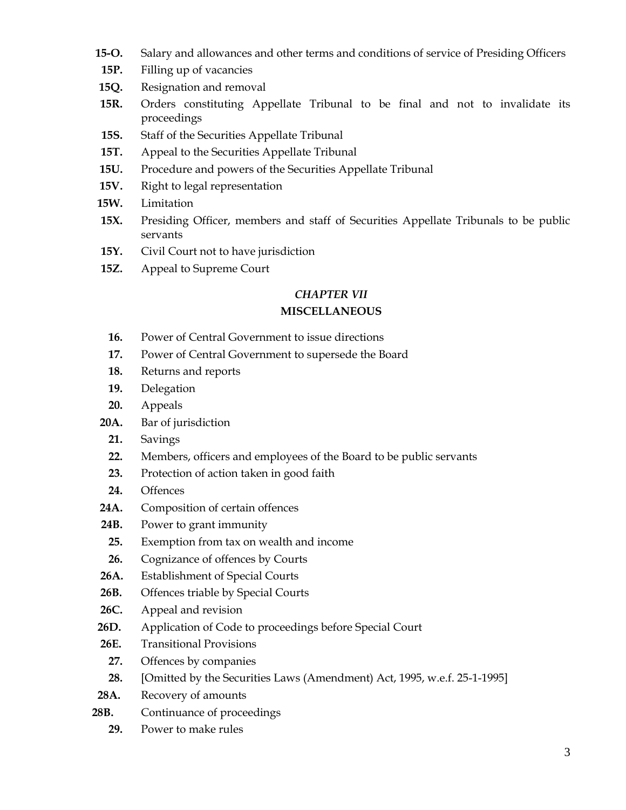- **15-O.** Salary and allowances and other terms and conditions of service of Presiding Officers
- **15P.** Filling up of vacancies
- **15Q.** Resignation and removal
- **15R.** Orders constituting Appellate Tribunal to be final and not to invalidate its proceedings
- **15S.** Staff of the Securities Appellate Tribunal
- **15T.** Appeal to the Securities Appellate Tribunal
- **15U.** Procedure and powers of the Securities Appellate Tribunal
- **15V.** Right to legal representation
- **15W.** Limitation
- **15X.** Presiding Officer, members and staff of Securities Appellate Tribunals to be public servants
- **15Y.** Civil Court not to have jurisdiction
- **15Z.** Appeal to Supreme Court

## *CHAPTER VII* **MISCELLANEOUS**

- **16.** Power of Central Government to issue directions
- **17.** Power of Central Government to supersede the Board
- **18.** Returns and reports
- **19.** Delegation
- **20.** Appeals
- **20A.** Bar of jurisdiction
	- **21.** Savings
	- **22.** Members, officers and employees of the Board to be public servants
	- **23.** Protection of action taken in good faith
	- **24.** Offences
- **24A.** Composition of certain offences
- **24B.** Power to grant immunity
	- **25.** Exemption from tax on wealth and income
- **26.** Cognizance of offences by Courts
- **26A.** Establishment of Special Courts
- **26B.** Offences triable by Special Courts
- **26C.** Appeal and revision
- **26D.** Application of Code to proceedings before Special Court
- **26E.** Transitional Provisions
	- **27.** Offences by companies
- **28.** [Omitted by the Securities Laws (Amendment) Act, 1995, w.e.f. 25-1-1995]
- **28A.** Recovery of amounts
- **28B.** Continuance of proceedings
	- **29.** Power to make rules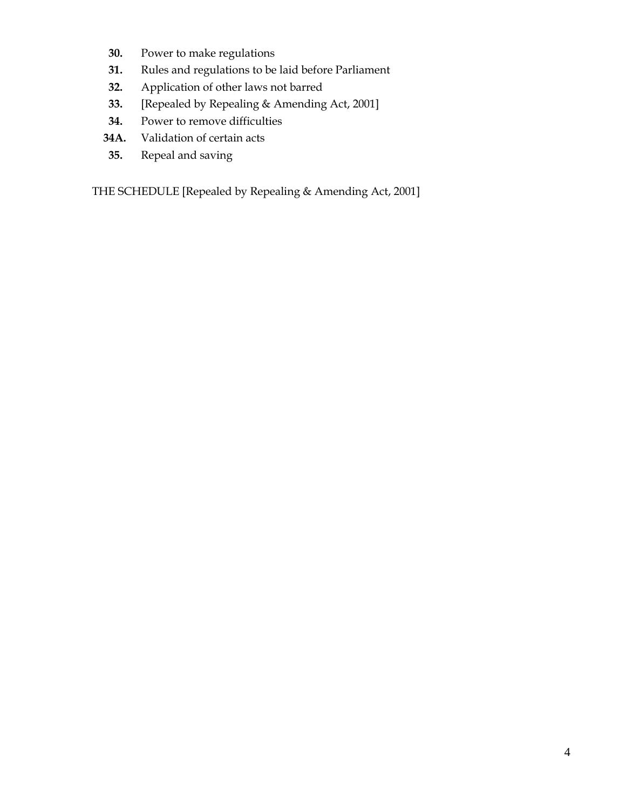- **30.** Power to make regulations
- **31.** Rules and regulations to be laid before Parliament
- **32.** Application of other laws not barred
- **33.** [Repealed by Repealing & Amending Act, 2001]
- **34.** Power to remove difficulties
- **34A.** Validation of certain acts
- **35.** Repeal and saving

THE SCHEDULE [Repealed by Repealing & Amending Act, 2001]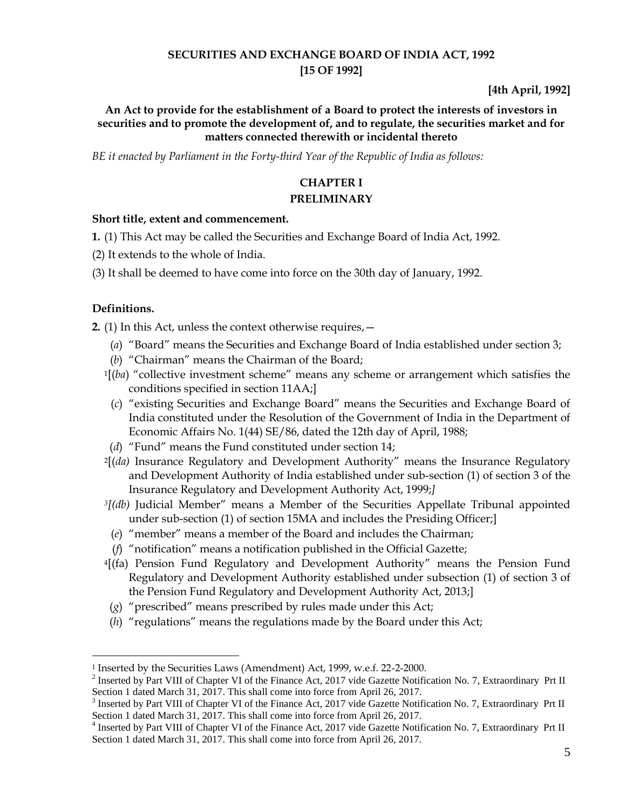# **SECURITIES AND EXCHANGE BOARD OF INDIA ACT, 1992 [15 OF 1992]**

**[4th April, 1992]**

## **An Act to provide for the establishment of a Board to protect the interests of investors in securities and to promote the development of, and to regulate, the securities market and for matters connected therewith or incidental thereto**

*BE it enacted by Parliament in the Forty-third Year of the Republic of India as follows:*

# **CHAPTER I**

## **PRELIMINARY**

### **Short title, extent and commencement.**

- **1.** (1) This Act may be called the Securities and Exchange Board of India Act, 1992.
- (2) It extends to the whole of India.
- (3) It shall be deemed to have come into force on the 30th day of January, 1992.

## **Definitions.**

 $\overline{a}$ 

**2.** (1) In this Act, unless the context otherwise requires,—

- (*a*) "Board" means the Securities and Exchange Board of India established under section 3;
- (*b*) "Chairman" means the Chairman of the Board;
- <sup>1</sup>[(*ba*) "collective investment scheme" means any scheme or arrangement which satisfies the conditions specified in section 11AA;]
- (*c*) "existing Securities and Exchange Board" means the Securities and Exchange Board of India constituted under the Resolution of the Government of India in the Department of Economic Affairs No. 1(44) SE/86, dated the 12th day of April, 1988;
- (*d*) "Fund" means the Fund constituted under section 14;
- <sup>2</sup>[(*da)* Insurance Regulatory and Development Authority" means the Insurance Regulatory and Development Authority of India established under sub-section (1) of section 3 of the Insurance Regulatory and Development Authority Act, 1999;*]*
- *<sup>3</sup>[(db)* Judicial Member" means a Member of the Securities Appellate Tribunal appointed under sub-section (1) of section 15MA and includes the Presiding Officer;]
- (*e*) "member" means a member of the Board and includes the Chairman;
- (*f*) "notification" means a notification published in the Official Gazette;
- <sup>4</sup>[(fa) Pension Fund Regulatory and Development Authority" means the Pension Fund Regulatory and Development Authority established under subsection (1) of section 3 of the Pension Fund Regulatory and Development Authority Act, 2013;]
- (*g*) "prescribed" means prescribed by rules made under this Act;
- (*h*) "regulations" means the regulations made by the Board under this Act;

<sup>1</sup> Inserted by the Securities Laws (Amendment) Act, 1999, w.e.f. 22-2-2000.

<sup>&</sup>lt;sup>2</sup> Inserted by Part VIII of Chapter VI of the Finance Act, 2017 vide Gazette Notification No. 7, Extraordinary Prt II Section 1 dated March 31, 2017. This shall come into force from April 26, 2017.

 $3$  Inserted by Part VIII of Chapter VI of the Finance Act, 2017 vide Gazette Notification No. 7, Extraordinary Prt II Section 1 dated March 31, 2017. This shall come into force from April 26, 2017.

<sup>&</sup>lt;sup>4</sup> Inserted by Part VIII of Chapter VI of the Finance Act, 2017 vide Gazette Notification No. 7, Extraordinary Prt II Section 1 dated March 31, 2017. This shall come into force from April 26, 2017.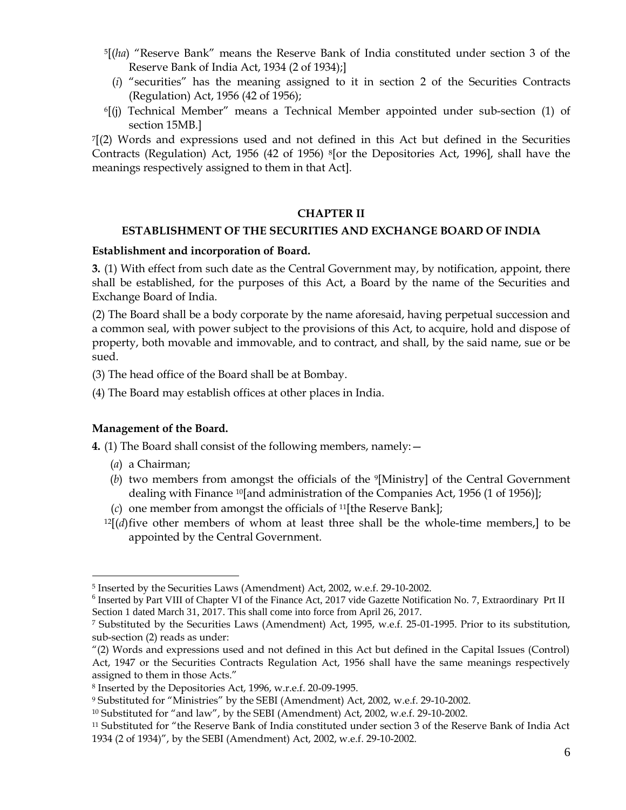- <sup>5</sup>[(*ha*) "Reserve Bank" means the Reserve Bank of India constituted under section 3 of the Reserve Bank of India Act, 1934 (2 of 1934);]
	- (*i*) "securities" has the meaning assigned to it in section 2 of the Securities Contracts (Regulation) Act, 1956 (42 of 1956);
- $6$ [(j) Technical Member" means a Technical Member appointed under sub-section (1) of section 15MB.]

<sup>7</sup>[(2) Words and expressions used and not defined in this Act but defined in the Securities Contracts (Regulation) Act, 1956 (42 of 1956) 8[or the Depositories Act, 1996], shall have the meanings respectively assigned to them in that Act].

#### **CHAPTER II**

#### **ESTABLISHMENT OF THE SECURITIES AND EXCHANGE BOARD OF INDIA**

#### **Establishment and incorporation of Board.**

**3.** (1) With effect from such date as the Central Government may, by notification, appoint, there shall be established, for the purposes of this Act, a Board by the name of the Securities and Exchange Board of India.

(2) The Board shall be a body corporate by the name aforesaid, having perpetual succession and a common seal, with power subject to the provisions of this Act, to acquire, hold and dispose of property, both movable and immovable, and to contract, and shall, by the said name, sue or be sued.

(3) The head office of the Board shall be at Bombay.

(4) The Board may establish offices at other places in India.

#### **Management of the Board.**

**4.** (1) The Board shall consist of the following members, namely:—

(*a*) a Chairman;

- (*b*) two members from amongst the officials of the 9[Ministry] of the Central Government dealing with Finance 10[and administration of the Companies Act, 1956 (1 of 1956)];
- (*c*) one member from amongst the officials of 11[the Reserve Bank];
- $12[(d)$  five other members of whom at least three shall be the whole-time members, to be appointed by the Central Government.

<sup>5</sup> Inserted by the Securities Laws (Amendment) Act, 2002, w.e.f. 29-10-2002.

<sup>&</sup>lt;sup>6</sup> Inserted by Part VIII of Chapter VI of the Finance Act, 2017 vide Gazette Notification No. 7, Extraordinary Prt II Section 1 dated March 31, 2017. This shall come into force from April 26, 2017.

<sup>7</sup> Substituted by the Securities Laws (Amendment) Act, 1995, w.e.f. 25-01-1995. Prior to its substitution, sub-section (2) reads as under:

<sup>&</sup>quot;(2) Words and expressions used and not defined in this Act but defined in the Capital Issues (Control) Act, 1947 or the Securities Contracts Regulation Act, 1956 shall have the same meanings respectively assigned to them in those Acts."

<sup>8</sup> Inserted by the Depositories Act, 1996, w.r.e.f. 20-09-1995.

<sup>9</sup> Substituted for "Ministries" by the SEBI (Amendment) Act, 2002, w.e.f. 29-10-2002.

<sup>10</sup> Substituted for "and law", by the SEBI (Amendment) Act, 2002, w.e.f. 29-10-2002.

<sup>11</sup> Substituted for "the Reserve Bank of India constituted under section 3 of the Reserve Bank of India Act 1934 (2 of 1934)", by the SEBI (Amendment) Act, 2002, w.e.f. 29-10-2002.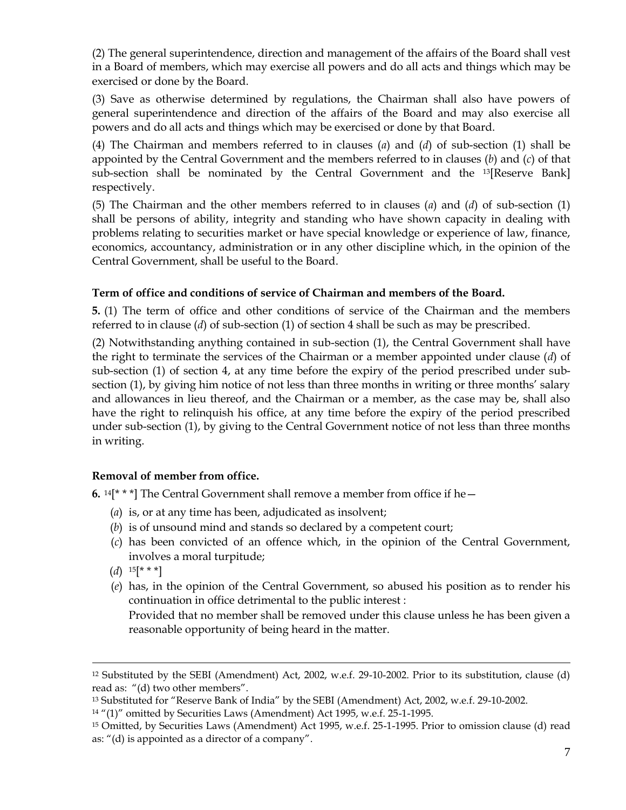(2) The general superintendence, direction and management of the affairs of the Board shall vest in a Board of members, which may exercise all powers and do all acts and things which may be exercised or done by the Board.

(3) Save as otherwise determined by regulations, the Chairman shall also have powers of general superintendence and direction of the affairs of the Board and may also exercise all powers and do all acts and things which may be exercised or done by that Board.

(4) The Chairman and members referred to in clauses (*a*) and (*d*) of sub-section (1) shall be appointed by the Central Government and the members referred to in clauses (*b*) and (*c*) of that sub-section shall be nominated by the Central Government and the 13[Reserve Bank] respectively.

(5) The Chairman and the other members referred to in clauses (*a*) and (*d*) of sub-section (1) shall be persons of ability, integrity and standing who have shown capacity in dealing with problems relating to securities market or have special knowledge or experience of law, finance, economics, accountancy, administration or in any other discipline which, in the opinion of the Central Government, shall be useful to the Board.

## **Term of office and conditions of service of Chairman and members of the Board.**

**5.** (1) The term of office and other conditions of service of the Chairman and the members referred to in clause (*d*) of sub-section (1) of section 4 shall be such as may be prescribed.

(2) Notwithstanding anything contained in sub-section (1), the Central Government shall have the right to terminate the services of the Chairman or a member appointed under clause (*d*) of sub-section (1) of section 4, at any time before the expiry of the period prescribed under subsection (1), by giving him notice of not less than three months in writing or three months' salary and allowances in lieu thereof, and the Chairman or a member, as the case may be, shall also have the right to relinquish his office, at any time before the expiry of the period prescribed under sub-section (1), by giving to the Central Government notice of not less than three months in writing.

## **Removal of member from office.**

**6.** <sup>14</sup>[\* \* \*] The Central Government shall remove a member from office if he—

- (*a*) is, or at any time has been, adjudicated as insolvent;
- (*b*) is of unsound mind and stands so declared by a competent court;
- (*c*) has been convicted of an offence which, in the opinion of the Central Government, involves a moral turpitude;
- $(d)$  <sup>15[\*\*\*</sup>]

 $\overline{a}$ 

(*e*) has, in the opinion of the Central Government, so abused his position as to render his continuation in office detrimental to the public interest :

Provided that no member shall be removed under this clause unless he has been given a reasonable opportunity of being heard in the matter.

<sup>12</sup> Substituted by the SEBI (Amendment) Act, 2002, w.e.f. 29-10-2002. Prior to its substitution, clause (d) read as: "(d) two other members".

<sup>13</sup> Substituted for "Reserve Bank of India" by the SEBI (Amendment) Act, 2002, w.e.f. 29-10-2002.

<sup>14</sup> "(1)" omitted by Securities Laws (Amendment) Act 1995, w.e.f. 25-1-1995.

<sup>15</sup> Omitted, by Securities Laws (Amendment) Act 1995, w.e.f. 25-1-1995. Prior to omission clause (d) read as: "(d) is appointed as a director of a company".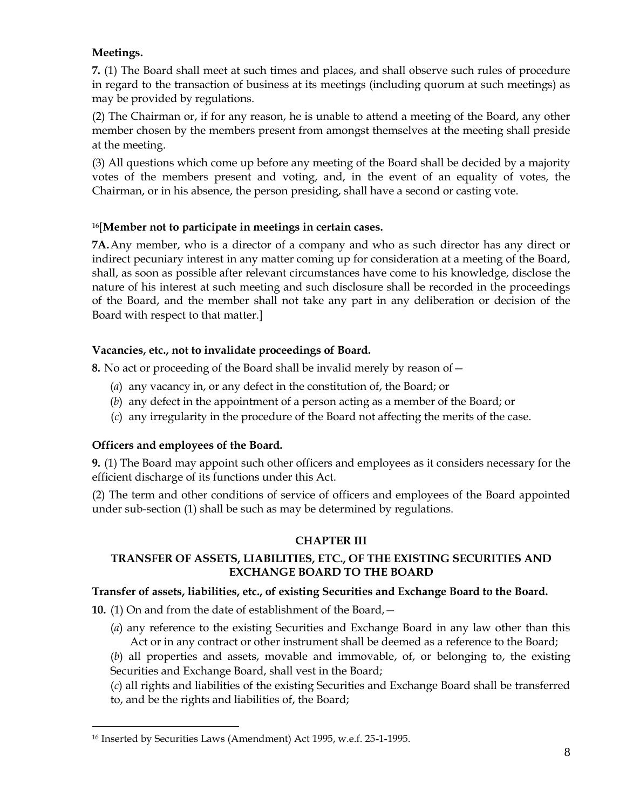# **Meetings.**

**7.** (1) The Board shall meet at such times and places, and shall observe such rules of procedure in regard to the transaction of business at its meetings (including quorum at such meetings) as may be provided by regulations.

(2) The Chairman or, if for any reason, he is unable to attend a meeting of the Board, any other member chosen by the members present from amongst themselves at the meeting shall preside at the meeting.

(3) All questions which come up before any meeting of the Board shall be decided by a majority votes of the members present and voting, and, in the event of an equality of votes, the Chairman, or in his absence, the person presiding, shall have a second or casting vote.

# <sup>16</sup>[**Member not to participate in meetings in certain cases.**

**7A.**Any member, who is a director of a company and who as such director has any direct or indirect pecuniary interest in any matter coming up for consideration at a meeting of the Board, shall, as soon as possible after relevant circumstances have come to his knowledge, disclose the nature of his interest at such meeting and such disclosure shall be recorded in the proceedings of the Board, and the member shall not take any part in any deliberation or decision of the Board with respect to that matter.]

# **Vacancies, etc., not to invalidate proceedings of Board.**

**8.** No act or proceeding of the Board shall be invalid merely by reason of—

- (*a*) any vacancy in, or any defect in the constitution of, the Board; or
- (*b*) any defect in the appointment of a person acting as a member of the Board; or
- (*c*) any irregularity in the procedure of the Board not affecting the merits of the case.

# **Officers and employees of the Board.**

 $\overline{a}$ 

**9.** (1) The Board may appoint such other officers and employees as it considers necessary for the efficient discharge of its functions under this Act.

(2) The term and other conditions of service of officers and employees of the Board appointed under sub-section (1) shall be such as may be determined by regulations.

# **CHAPTER III**

# **TRANSFER OF ASSETS, LIABILITIES, ETC., OF THE EXISTING SECURITIES AND EXCHANGE BOARD TO THE BOARD**

# **Transfer of assets, liabilities, etc., of existing Securities and Exchange Board to the Board.**

**10.** (1) On and from the date of establishment of the Board,—

- (*a*) any reference to the existing Securities and Exchange Board in any law other than this Act or in any contract or other instrument shall be deemed as a reference to the Board;
- (*b*) all properties and assets, movable and immovable, of, or belonging to, the existing Securities and Exchange Board, shall vest in the Board;

(*c*) all rights and liabilities of the existing Securities and Exchange Board shall be transferred to, and be the rights and liabilities of, the Board;

<sup>16</sup> Inserted by Securities Laws (Amendment) Act 1995, w.e.f. 25-1-1995.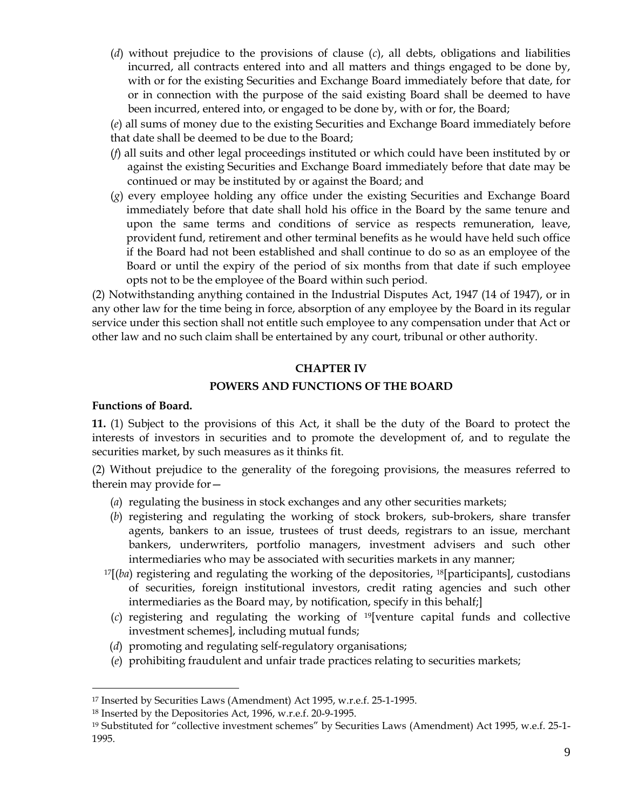(*d*) without prejudice to the provisions of clause (*c*), all debts, obligations and liabilities incurred, all contracts entered into and all matters and things engaged to be done by, with or for the existing Securities and Exchange Board immediately before that date, for or in connection with the purpose of the said existing Board shall be deemed to have been incurred, entered into, or engaged to be done by, with or for, the Board;

(*e*) all sums of money due to the existing Securities and Exchange Board immediately before that date shall be deemed to be due to the Board;

- (*f*) all suits and other legal proceedings instituted or which could have been instituted by or against the existing Securities and Exchange Board immediately before that date may be continued or may be instituted by or against the Board; and
- (*g*) every employee holding any office under the existing Securities and Exchange Board immediately before that date shall hold his office in the Board by the same tenure and upon the same terms and conditions of service as respects remuneration, leave, provident fund, retirement and other terminal benefits as he would have held such office if the Board had not been established and shall continue to do so as an employee of the Board or until the expiry of the period of six months from that date if such employee opts not to be the employee of the Board within such period.

(2) Notwithstanding anything contained in the Industrial Disputes Act, 1947 (14 of 1947), or in any other law for the time being in force, absorption of any employee by the Board in its regular service under this section shall not entitle such employee to any compensation under that Act or other law and no such claim shall be entertained by any court, tribunal or other authority.

### **CHAPTER IV**

### **POWERS AND FUNCTIONS OF THE BOARD**

#### **Functions of Board.**

 $\overline{a}$ 

**11.** (1) Subject to the provisions of this Act, it shall be the duty of the Board to protect the interests of investors in securities and to promote the development of, and to regulate the securities market, by such measures as it thinks fit.

(2) Without prejudice to the generality of the foregoing provisions, the measures referred to therein may provide for—

- (*a*) regulating the business in stock exchanges and any other securities markets;
- (*b*) registering and regulating the working of stock brokers, sub-brokers, share transfer agents, bankers to an issue, trustees of trust deeds, registrars to an issue, merchant bankers, underwriters, portfolio managers, investment advisers and such other intermediaries who may be associated with securities markets in any manner;
- <sup>17</sup>[(*ba*) registering and regulating the working of the depositories, <sup>18</sup>[participants], custodians of securities, foreign institutional investors, credit rating agencies and such other intermediaries as the Board may, by notification, specify in this behalf;]
- (*c*) registering and regulating the working of 19[venture capital funds and collective investment schemes], including mutual funds;
- (*d*) promoting and regulating self-regulatory organisations;
- (*e*) prohibiting fraudulent and unfair trade practices relating to securities markets;

<sup>17</sup> Inserted by Securities Laws (Amendment) Act 1995, w.r.e.f. 25-1-1995.

<sup>18</sup> Inserted by the Depositories Act, 1996, w.r.e.f. 20-9-1995.

<sup>19</sup> Substituted for "collective investment schemes" by Securities Laws (Amendment) Act 1995, w.e.f. 25-1- 1995.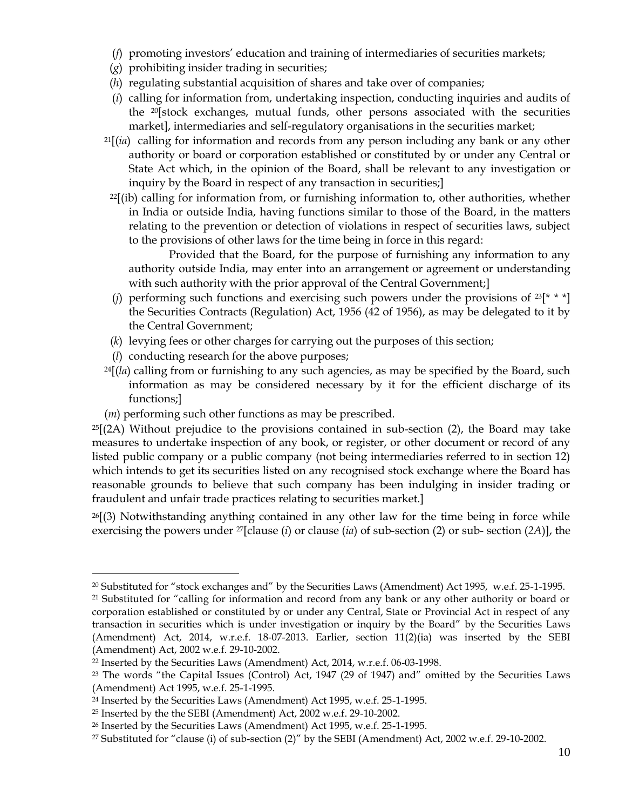- (*f*) promoting investors' education and training of intermediaries of securities markets;
- (*g*) prohibiting insider trading in securities;
- (*h*) regulating substantial acquisition of shares and take over of companies;
- (*i*) calling for information from, undertaking inspection, conducting inquiries and audits of the 20[stock exchanges, mutual funds, other persons associated with the securities market], intermediaries and self-regulatory organisations in the securities market;
- <sup>21</sup>[(*ia*) calling for information and records from any person including any bank or any other authority or board or corporation established or constituted by or under any Central or State Act which, in the opinion of the Board, shall be relevant to any investigation or inquiry by the Board in respect of any transaction in securities;]
- $22$ [(ib) calling for information from, or furnishing information to, other authorities, whether in India or outside India, having functions similar to those of the Board, in the matters relating to the prevention or detection of violations in respect of securities laws, subject to the provisions of other laws for the time being in force in this regard:

 Provided that the Board, for the purpose of furnishing any information to any authority outside India, may enter into an arrangement or agreement or understanding with such authority with the prior approval of the Central Government;

- (*j*) performing such functions and exercising such powers under the provisions of  $23[* * *]$ the Securities Contracts (Regulation) Act, 1956 (42 of 1956), as may be delegated to it by the Central Government;
- (*k*) levying fees or other charges for carrying out the purposes of this section;
- (*l*) conducting research for the above purposes;

 $\overline{a}$ 

- <sup>24</sup>[(*la*) calling from or furnishing to any such agencies, as may be specified by the Board, such information as may be considered necessary by it for the efficient discharge of its functions;]
- (*m*) performing such other functions as may be prescribed.

 $^{25}$ [(2A) Without prejudice to the provisions contained in sub-section (2), the Board may take measures to undertake inspection of any book, or register, or other document or record of any listed public company or a public company (not being intermediaries referred to in section 12) which intends to get its securities listed on any recognised stock exchange where the Board has reasonable grounds to believe that such company has been indulging in insider trading or fraudulent and unfair trade practices relating to securities market.]

<sup>26</sup>[(3) Notwithstanding anything contained in any other law for the time being in force while exercising the powers under 27[clause (*i*) or clause (*ia*) of sub-section (2) or sub- section (*2A*)], the

 $20$  Substituted for "stock exchanges and" by the Securities Laws (Amendment) Act 1995, w.e.f. 25-1-1995.

<sup>&</sup>lt;sup>21</sup> Substituted for "calling for information and record from any bank or any other authority or board or corporation established or constituted by or under any Central, State or Provincial Act in respect of any transaction in securities which is under investigation or inquiry by the Board" by the Securities Laws (Amendment) Act, 2014, w.r.e.f. 18-07-2013. Earlier, section 11(2)(ia) was inserted by the SEBI (Amendment) Act, 2002 w.e.f. 29-10-2002.

<sup>22</sup> Inserted by the Securities Laws (Amendment) Act, 2014, w.r.e.f. 06-03-1998.

<sup>&</sup>lt;sup>23</sup> The words "the Capital Issues (Control) Act, 1947 (29 of 1947) and" omitted by the Securities Laws (Amendment) Act 1995, w.e.f. 25-1-1995.

<sup>24</sup> Inserted by the Securities Laws (Amendment) Act 1995, w.e.f. 25-1-1995.

<sup>25</sup> Inserted by the the SEBI (Amendment) Act, 2002 w.e.f. 29-10-2002.

<sup>26</sup> Inserted by the Securities Laws (Amendment) Act 1995, w.e.f. 25-1-1995.

<sup>27</sup> Substituted for "clause (i) of sub-section (2)" by the SEBI (Amendment) Act, 2002 w.e.f. 29-10-2002.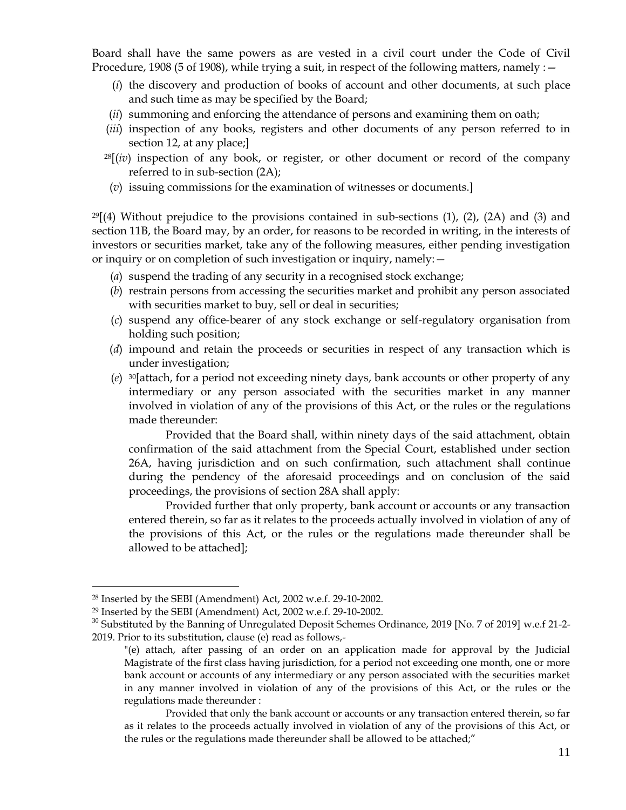Board shall have the same powers as are vested in a civil court under the Code of Civil Procedure, 1908 (5 of 1908), while trying a suit, in respect of the following matters, namely  $:$   $-$ 

- (*i*) the discovery and production of books of account and other documents, at such place and such time as may be specified by the Board;
- (*ii*) summoning and enforcing the attendance of persons and examining them on oath;
- (*iii*) inspection of any books, registers and other documents of any person referred to in section 12, at any place;]
- <sup>28</sup>[(*iv*) inspection of any book, or register, or other document or record of the company referred to in sub-section (2A);
- (*v*) issuing commissions for the examination of witnesses or documents.]

 $^{29}$ [(4) Without prejudice to the provisions contained in sub-sections (1), (2), (2A) and (3) and section 11B, the Board may, by an order, for reasons to be recorded in writing, in the interests of investors or securities market, take any of the following measures, either pending investigation or inquiry or on completion of such investigation or inquiry, namely:—

- (*a*) suspend the trading of any security in a recognised stock exchange;
- (*b*) restrain persons from accessing the securities market and prohibit any person associated with securities market to buy, sell or deal in securities;
- (*c*) suspend any office-bearer of any stock exchange or self-regulatory organisation from holding such position;
- (*d*) impound and retain the proceeds or securities in respect of any transaction which is under investigation;
- (*e*) <sup>30</sup>[attach, for a period not exceeding ninety days, bank accounts or other property of any intermediary or any person associated with the securities market in any manner involved in violation of any of the provisions of this Act, or the rules or the regulations made thereunder:

Provided that the Board shall, within ninety days of the said attachment, obtain confirmation of the said attachment from the Special Court, established under section 26A, having jurisdiction and on such confirmation, such attachment shall continue during the pendency of the aforesaid proceedings and on conclusion of the said proceedings, the provisions of section 28A shall apply:

Provided further that only property, bank account or accounts or any transaction entered therein, so far as it relates to the proceeds actually involved in violation of any of the provisions of this Act, or the rules or the regulations made thereunder shall be allowed to be attached];

<sup>28</sup> Inserted by the SEBI (Amendment) Act, 2002 w.e.f. 29-10-2002.

<sup>29</sup> Inserted by the SEBI (Amendment) Act, 2002 w.e.f. 29-10-2002.

<sup>&</sup>lt;sup>30</sup> Substituted by the Banning of Unregulated Deposit Schemes Ordinance, 2019 [No. 7 of 2019] w.e.f 21-2-2019. Prior to its substitution, clause (e) read as follows,-

<sup>&</sup>quot;(e) attach, after passing of an order on an application made for approval by the Judicial Magistrate of the first class having jurisdiction, for a period not exceeding one month, one or more bank account or accounts of any intermediary or any person associated with the securities market in any manner involved in violation of any of the provisions of this Act, or the rules or the regulations made thereunder :

Provided that only the bank account or accounts or any transaction entered therein, so far as it relates to the proceeds actually involved in violation of any of the provisions of this Act, or the rules or the regulations made thereunder shall be allowed to be attached;"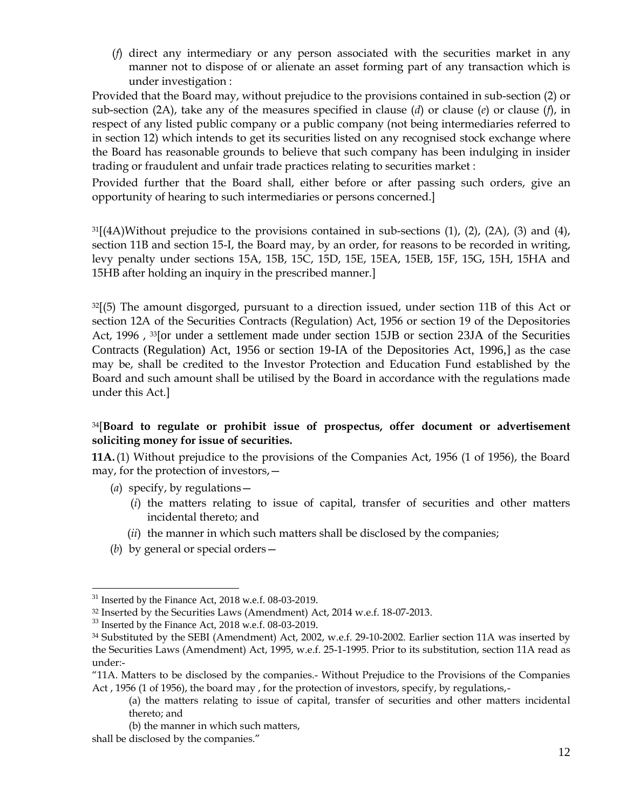(*f*) direct any intermediary or any person associated with the securities market in any manner not to dispose of or alienate an asset forming part of any transaction which is under investigation :

Provided that the Board may, without prejudice to the provisions contained in sub-section (2) or sub-section (2A), take any of the measures specified in clause (*d*) or clause (*e*) or clause (*f*), in respect of any listed public company or a public company (not being intermediaries referred to in section 12) which intends to get its securities listed on any recognised stock exchange where the Board has reasonable grounds to believe that such company has been indulging in insider trading or fraudulent and unfair trade practices relating to securities market :

Provided further that the Board shall, either before or after passing such orders, give an opportunity of hearing to such intermediaries or persons concerned.]

 $31[(4)$ Without prejudice to the provisions contained in sub-sections (1), (2), (2A), (3) and (4), section 11B and section 15-I, the Board may, by an order, for reasons to be recorded in writing, levy penalty under sections 15A, 15B, 15C, 15D, 15E, 15EA, 15EB, 15F, 15G, 15H, 15HA and 15HB after holding an inquiry in the prescribed manner.]

 $32(5)$  The amount disgorged, pursuant to a direction issued, under section 11B of this Act or section 12A of the Securities Contracts (Regulation) Act, 1956 or section 19 of the Depositories Act, 1996 , <sup>33</sup>[or under a settlement made under section 15JB or section 23JA of the Securities Contracts (Regulation) Act, 1956 or section 19-IA of the Depositories Act, 1996,] as the case may be, shall be credited to the Investor Protection and Education Fund established by the Board and such amount shall be utilised by the Board in accordance with the regulations made under this Act.]

## <sup>34</sup>[**Board to regulate or prohibit issue of prospectus, offer document or advertisement soliciting money for issue of securities.**

**11A.**(1) Without prejudice to the provisions of the Companies Act, 1956 (1 of 1956), the Board may, for the protection of investors,—

(*a*) specify, by regulations—

- (*i*) the matters relating to issue of capital, transfer of securities and other matters incidental thereto; and
- (*ii*) the manner in which such matters shall be disclosed by the companies;
- (*b*) by general or special orders—

<sup>&</sup>lt;sup>31</sup> Inserted by the Finance Act, 2018 w.e.f. 08-03-2019.

<sup>32</sup> Inserted by the Securities Laws (Amendment) Act, 2014 w.e.f. 18-07-2013.

<sup>&</sup>lt;sup>33</sup> Inserted by the Finance Act, 2018 w.e.f. 08-03-2019.

<sup>34</sup> Substituted by the SEBI (Amendment) Act, 2002, w.e.f. 29-10-2002. Earlier section 11A was inserted by the Securities Laws (Amendment) Act, 1995, w.e.f. 25-1-1995. Prior to its substitution, section 11A read as under:-

<sup>&</sup>quot;11A. Matters to be disclosed by the companies.- Without Prejudice to the Provisions of the Companies Act , 1956 (1 of 1956), the board may , for the protection of investors, specify, by regulations,-

<sup>(</sup>a) the matters relating to issue of capital, transfer of securities and other matters incidental thereto; and

<sup>(</sup>b) the manner in which such matters,

shall be disclosed by the companies."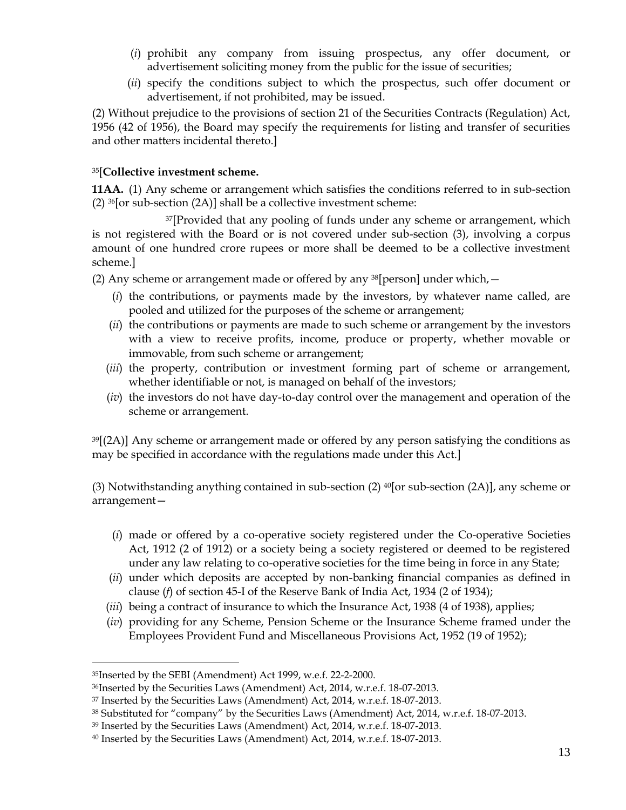- (*i*) prohibit any company from issuing prospectus, any offer document, or advertisement soliciting money from the public for the issue of securities;
- (*ii*) specify the conditions subject to which the prospectus, such offer document or advertisement, if not prohibited, may be issued.

(2) Without prejudice to the provisions of section 21 of the Securities Contracts (Regulation) Act, 1956 (42 of 1956), the Board may specify the requirements for listing and transfer of securities and other matters incidental thereto.]

## <sup>35</sup>[**Collective investment scheme.**

**11AA.** (1) Any scheme or arrangement which satisfies the conditions referred to in sub-section (2)  $36$ [or sub-section (2A)] shall be a collective investment scheme:

37<sup>[Provided that any pooling of funds under any scheme or arrangement, which</sup> is not registered with the Board or is not covered under sub-section (3), involving a corpus amount of one hundred crore rupees or more shall be deemed to be a collective investment scheme.]

(2) Any scheme or arrangement made or offered by any  $^{38}$ [person] under which,  $-$ 

- (*i*) the contributions, or payments made by the investors, by whatever name called, are pooled and utilized for the purposes of the scheme or arrangement;
- (*ii*) the contributions or payments are made to such scheme or arrangement by the investors with a view to receive profits, income, produce or property, whether movable or immovable, from such scheme or arrangement;
- (*iii*) the property, contribution or investment forming part of scheme or arrangement, whether identifiable or not, is managed on behalf of the investors;
- (*iv*) the investors do not have day-to-day control over the management and operation of the scheme or arrangement.

 $39$ [(2A)] Any scheme or arrangement made or offered by any person satisfying the conditions as may be specified in accordance with the regulations made under this Act.]

(3) Notwithstanding anything contained in sub-section (2)  $40$ [or sub-section (2A)], any scheme or arrangement—

- (*i*) made or offered by a co-operative society registered under the Co-operative Societies Act, 1912 (2 of 1912) or a society being a society registered or deemed to be registered under any law relating to co-operative societies for the time being in force in any State;
- (*ii*) under which deposits are accepted by non-banking financial companies as defined in clause (*f*) of section 45-I of the Reserve Bank of India Act, 1934 (2 of 1934);
- (*iii*) being a contract of insurance to which the Insurance Act, 1938 (4 of 1938), applies;
- (*iv*) providing for any Scheme, Pension Scheme or the Insurance Scheme framed under the Employees Provident Fund and Miscellaneous Provisions Act, 1952 (19 of 1952);

<sup>35</sup>Inserted by the SEBI (Amendment) Act 1999, w.e.f. 22-2-2000.

<sup>36</sup>Inserted by the Securities Laws (Amendment) Act, 2014, w.r.e.f. 18-07-2013.

<sup>37</sup> Inserted by the Securities Laws (Amendment) Act, 2014, w.r.e.f. 18-07-2013.

<sup>38</sup> Substituted for "company" by the Securities Laws (Amendment) Act, 2014, w.r.e.f. 18-07-2013.

<sup>39</sup> Inserted by the Securities Laws (Amendment) Act, 2014, w.r.e.f. 18-07-2013.

<sup>40</sup> Inserted by the Securities Laws (Amendment) Act, 2014, w.r.e.f. 18-07-2013.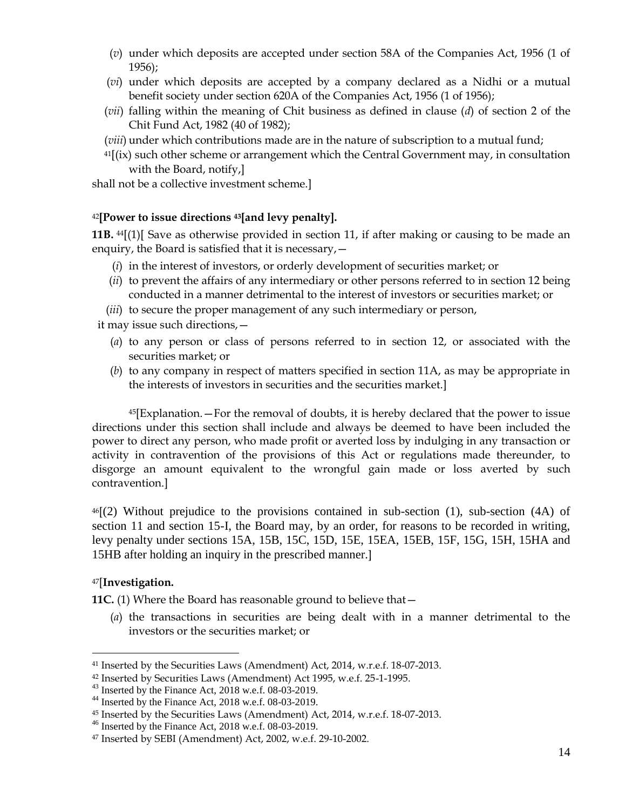- (*v*) under which deposits are accepted under section 58A of the Companies Act, 1956 (1 of 1956);
- (*vi*) under which deposits are accepted by a company declared as a Nidhi or a mutual benefit society under section 620A of the Companies Act, 1956 (1 of 1956);
- (*vii*) falling within the meaning of Chit business as defined in clause (*d*) of section 2 of the Chit Fund Act, 1982 (40 of 1982);
- (*viii*) under which contributions made are in the nature of subscription to a mutual fund;
- $41$ [(ix) such other scheme or arrangement which the Central Government may, in consultation with the Board, notify,]

shall not be a collective investment scheme.]

#### <sup>42</sup>**[Power to issue directions <sup>43</sup>[and levy penalty].**

**11B.** <sup>44</sup>[(1)[ Save as otherwise provided in section 11, if after making or causing to be made an enquiry, the Board is satisfied that it is necessary,—

- (*i*) in the interest of investors, or orderly development of securities market; or
- (*ii*) to prevent the affairs of any intermediary or other persons referred to in section 12 being conducted in a manner detrimental to the interest of investors or securities market; or
- (*iii*) to secure the proper management of any such intermediary or person,

it may issue such directions,—

- (*a*) to any person or class of persons referred to in section 12, or associated with the securities market; or
- (*b*) to any company in respect of matters specified in section 11A, as may be appropriate in the interests of investors in securities and the securities market.]

 $45$ [Explanation.  $-$  For the removal of doubts, it is hereby declared that the power to issue directions under this section shall include and always be deemed to have been included the power to direct any person, who made profit or averted loss by indulging in any transaction or activity in contravention of the provisions of this Act or regulations made thereunder, to disgorge an amount equivalent to the wrongful gain made or loss averted by such contravention.]

 $46(2)$  Without prejudice to the provisions contained in sub-section (1), sub-section (4A) of section 11 and section 15-I, the Board may, by an order, for reasons to be recorded in writing, levy penalty under sections 15A, 15B, 15C, 15D, 15E, 15EA, 15EB, 15F, 15G, 15H, 15HA and 15HB after holding an inquiry in the prescribed manner.]

#### <sup>47</sup>[**Investigation.**

 $\overline{a}$ 

**11C.** (1) Where the Board has reasonable ground to believe that—

(*a*) the transactions in securities are being dealt with in a manner detrimental to the investors or the securities market; or

<sup>41</sup> Inserted by the Securities Laws (Amendment) Act, 2014, w.r.e.f. 18-07-2013.

<sup>42</sup> Inserted by Securities Laws (Amendment) Act 1995, w.e.f. 25-1-1995.

<sup>&</sup>lt;sup>43</sup> Inserted by the Finance Act, 2018 w.e.f. 08-03-2019.

<sup>44</sup> Inserted by the Finance Act, 2018 w.e.f. 08-03-2019.

<sup>45</sup> Inserted by the Securities Laws (Amendment) Act, 2014, w.r.e.f. 18-07-2013.

<sup>46</sup> Inserted by the Finance Act, 2018 w.e.f. 08-03-2019.

<sup>47</sup> Inserted by SEBI (Amendment) Act, 2002, w.e.f. 29-10-2002.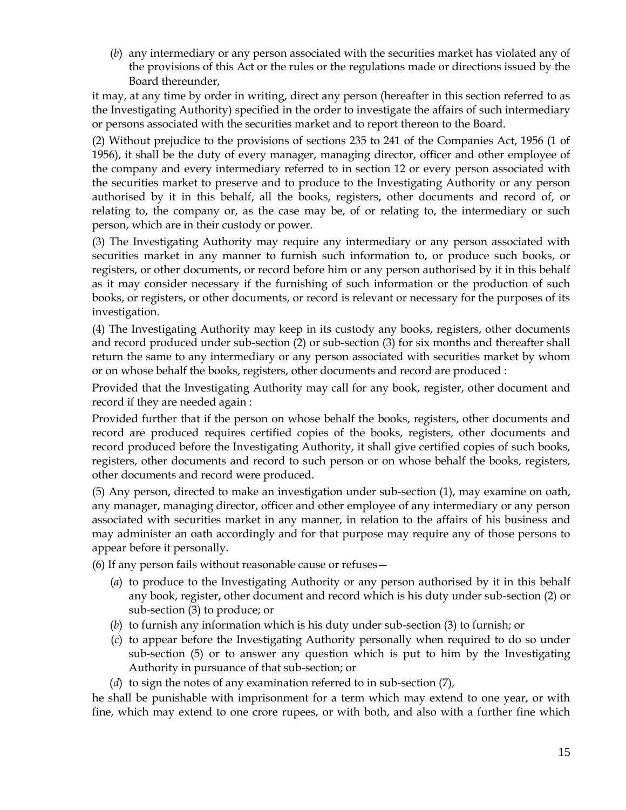(*b*) any intermediary or any person associated with the securities market has violated any of the provisions of this Act or the rules or the regulations made or directions issued by the Board thereunder,

it may, at any time by order in writing, direct any person (hereafter in this section referred to as the Investigating Authority) specified in the order to investigate the affairs of such intermediary or persons associated with the securities market and to report thereon to the Board.

(2) Without prejudice to the provisions of sections 235 to 241 of the Companies Act, 1956 (1 of 1956), it shall be the duty of every manager, managing director, officer and other employee of the company and every intermediary referred to in section 12 or every person associated with the securities market to preserve and to produce to the Investigating Authority or any person authorised by it in this behalf, all the books, registers, other documents and record of, or relating to, the company or, as the case may be, of or relating to, the intermediary or such person, which are in their custody or power.

(3) The Investigating Authority may require any intermediary or any person associated with securities market in any manner to furnish such information to, or produce such books, or registers, or other documents, or record before him or any person authorised by it in this behalf as it may consider necessary if the furnishing of such information or the production of such books, or registers, or other documents, or record is relevant or necessary for the purposes of its investigation.

(4) The Investigating Authority may keep in its custody any books, registers, other documents and record produced under sub-section (2) or sub-section (3) for six months and thereafter shall return the same to any intermediary or any person associated with securities market by whom or on whose behalf the books, registers, other documents and record are produced :

Provided that the Investigating Authority may call for any book, register, other document and record if they are needed again :

Provided further that if the person on whose behalf the books, registers, other documents and record are produced requires certified copies of the books, registers, other documents and record produced before the Investigating Authority, it shall give certified copies of such books, registers, other documents and record to such person or on whose behalf the books, registers, other documents and record were produced.

(5) Any person, directed to make an investigation under sub-section (1), may examine on oath, any manager, managing director, officer and other employee of any intermediary or any person associated with securities market in any manner, in relation to the affairs of his business and may administer an oath accordingly and for that purpose may require any of those persons to appear before it personally.

(6) If any person fails without reasonable cause or refuses—

- (*a*) to produce to the Investigating Authority or any person authorised by it in this behalf any book, register, other document and record which is his duty under sub-section (2) or sub-section (3) to produce; or
- (*b*) to furnish any information which is his duty under sub-section (3) to furnish; or
- (*c*) to appear before the Investigating Authority personally when required to do so under sub-section (5) or to answer any question which is put to him by the Investigating Authority in pursuance of that sub-section; or
- (*d*) to sign the notes of any examination referred to in sub-section (7),

he shall be punishable with imprisonment for a term which may extend to one year, or with fine, which may extend to one crore rupees, or with both, and also with a further fine which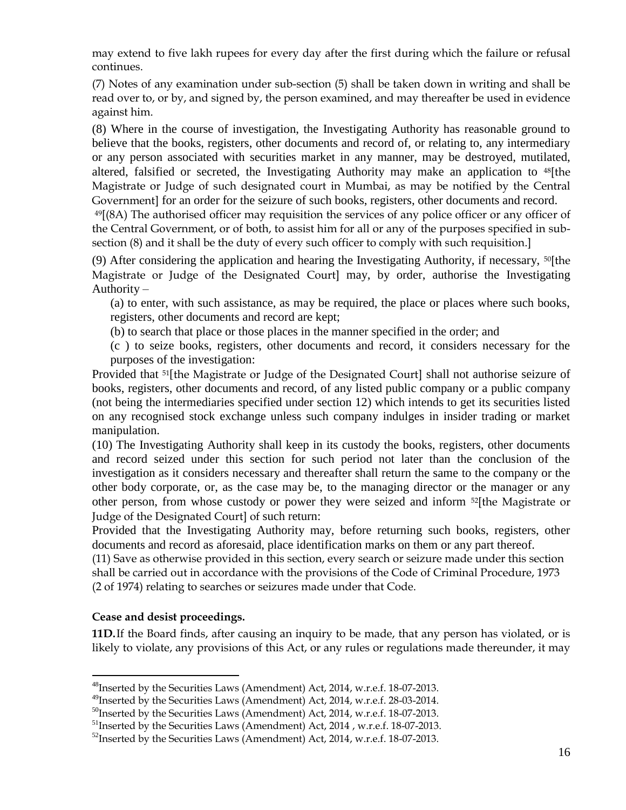may extend to five lakh rupees for every day after the first during which the failure or refusal continues.

(7) Notes of any examination under sub-section (5) shall be taken down in writing and shall be read over to, or by, and signed by, the person examined, and may thereafter be used in evidence against him.

(8) Where in the course of investigation, the Investigating Authority has reasonable ground to believe that the books, registers, other documents and record of, or relating to, any intermediary or any person associated with securities market in any manner, may be destroyed, mutilated, altered, falsified or secreted, the Investigating Authority may make an application to 48[the Magistrate or Judge of such designated court in Mumbai, as may be notified by the Central Government] for an order for the seizure of such books, registers, other documents and record.

<sup>49</sup>[(8A) The authorised officer may requisition the services of any police officer or any officer of the Central Government, or of both, to assist him for all or any of the purposes specified in subsection (8) and it shall be the duty of every such officer to comply with such requisition.]

(9) After considering the application and hearing the Investigating Authority, if necessary, 50[the Magistrate or Judge of the Designated Court] may, by order, authorise the Investigating Authority –

(a) to enter, with such assistance, as may be required, the place or places where such books, registers, other documents and record are kept;

(b) to search that place or those places in the manner specified in the order; and

(c ) to seize books, registers, other documents and record, it considers necessary for the purposes of the investigation:

Provided that 51[the Magistrate or Judge of the Designated Court] shall not authorise seizure of books, registers, other documents and record, of any listed public company or a public company (not being the intermediaries specified under section 12) which intends to get its securities listed on any recognised stock exchange unless such company indulges in insider trading or market manipulation.

(10) The Investigating Authority shall keep in its custody the books, registers, other documents and record seized under this section for such period not later than the conclusion of the investigation as it considers necessary and thereafter shall return the same to the company or the other body corporate, or, as the case may be, to the managing director or the manager or any other person, from whose custody or power they were seized and inform 52[the Magistrate or Judge of the Designated Court] of such return:

Provided that the Investigating Authority may, before returning such books, registers, other documents and record as aforesaid, place identification marks on them or any part thereof.

(11) Save as otherwise provided in this section, every search or seizure made under this section shall be carried out in accordance with the provisions of the Code of Criminal Procedure, 1973 (2 of 1974) relating to searches or seizures made under that Code.

## **Cease and desist proceedings.**

 $\overline{a}$ 

**11D.**If the Board finds, after causing an inquiry to be made, that any person has violated, or is likely to violate, any provisions of this Act, or any rules or regulations made thereunder, it may

<sup>&</sup>lt;sup>48</sup>Inserted by the Securities Laws (Amendment) Act, 2014, w.r.e.f. 18-07-2013.

<sup>49</sup>Inserted by the Securities Laws (Amendment) Act, 2014, w.r.e.f. 28-03-2014.

<sup>&</sup>lt;sup>50</sup>Inserted by the Securities Laws (Amendment) Act, 2014, w.r.e.f. 18-07-2013.

<sup>&</sup>lt;sup>51</sup>Inserted by the Securities Laws (Amendment) Act, 2014, w.r.e.f. 18-07-2013.

<sup>&</sup>lt;sup>52</sup>Inserted by the Securities Laws (Amendment) Act, 2014, w.r.e.f. 18-07-2013.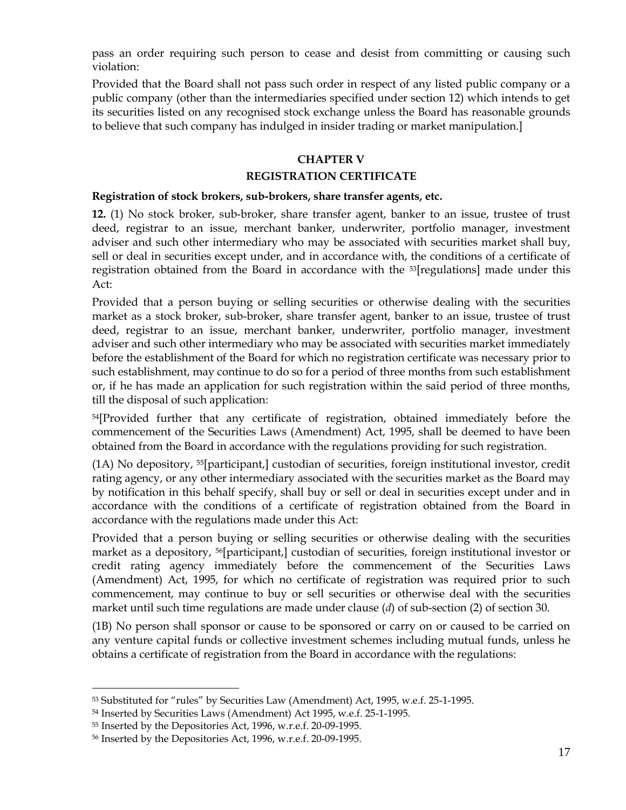pass an order requiring such person to cease and desist from committing or causing such violation:

Provided that the Board shall not pass such order in respect of any listed public company or a public company (other than the intermediaries specified under section 12) which intends to get its securities listed on any recognised stock exchange unless the Board has reasonable grounds to believe that such company has indulged in insider trading or market manipulation.]

### **CHAPTER V**

#### **REGISTRATION CERTIFICATE**

#### **Registration of stock brokers, sub-brokers, share transfer agents, etc.**

**12.** (1) No stock broker, sub-broker, share transfer agent, banker to an issue, trustee of trust deed, registrar to an issue, merchant banker, underwriter, portfolio manager, investment adviser and such other intermediary who may be associated with securities market shall buy, sell or deal in securities except under, and in accordance with, the conditions of a certificate of registration obtained from the Board in accordance with the <sup>53</sup>[regulations] made under this  $Art$ 

Provided that a person buying or selling securities or otherwise dealing with the securities market as a stock broker, sub-broker, share transfer agent, banker to an issue, trustee of trust deed, registrar to an issue, merchant banker, underwriter, portfolio manager, investment adviser and such other intermediary who may be associated with securities market immediately before the establishment of the Board for which no registration certificate was necessary prior to such establishment, may continue to do so for a period of three months from such establishment or, if he has made an application for such registration within the said period of three months, till the disposal of such application:

<sup>54</sup>[Provided further that any certificate of registration, obtained immediately before the commencement of the Securities Laws (Amendment) Act, 1995, shall be deemed to have been obtained from the Board in accordance with the regulations providing for such registration.

(1A) No depository, 55[participant,] custodian of securities, foreign institutional investor, credit rating agency, or any other intermediary associated with the securities market as the Board may by notification in this behalf specify, shall buy or sell or deal in securities except under and in accordance with the conditions of a certificate of registration obtained from the Board in accordance with the regulations made under this Act:

Provided that a person buying or selling securities or otherwise dealing with the securities market as a depository, 56[participant,] custodian of securities, foreign institutional investor or credit rating agency immediately before the commencement of the Securities Laws (Amendment) Act, 1995, for which no certificate of registration was required prior to such commencement, may continue to buy or sell securities or otherwise deal with the securities market until such time regulations are made under clause (*d*) of sub-section (2) of section 30.

(1B) No person shall sponsor or cause to be sponsored or carry on or caused to be carried on any venture capital funds or collective investment schemes including mutual funds, unless he obtains a certificate of registration from the Board in accordance with the regulations:

<sup>53</sup> Substituted for "rules" by Securities Law (Amendment) Act, 1995, w.e.f. 25-1-1995.

<sup>54</sup> Inserted by Securities Laws (Amendment) Act 1995, w.e.f. 25-1-1995.

<sup>55</sup> Inserted by the Depositories Act, 1996, w.r.e.f. 20-09-1995.

<sup>56</sup> Inserted by the Depositories Act, 1996, w.r.e.f. 20-09-1995.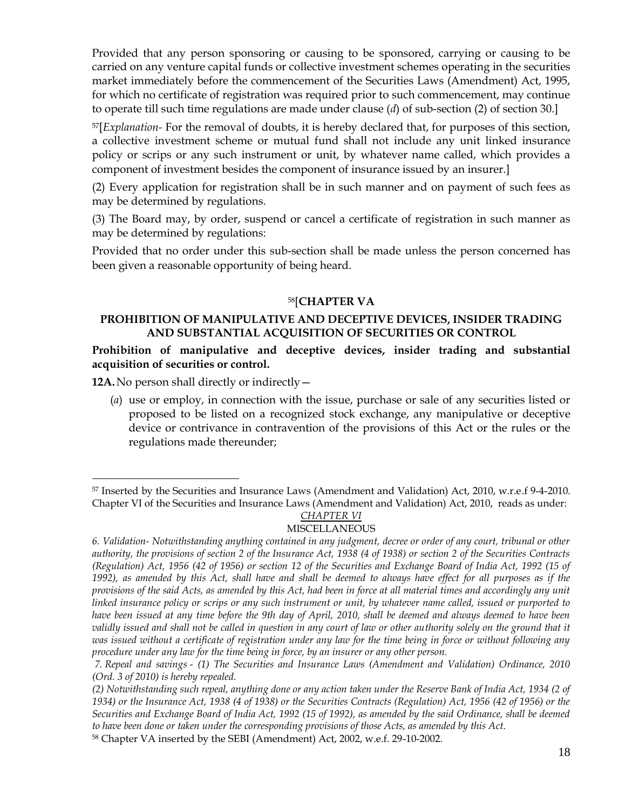Provided that any person sponsoring or causing to be sponsored, carrying or causing to be carried on any venture capital funds or collective investment schemes operating in the securities market immediately before the commencement of the Securities Laws (Amendment) Act, 1995, for which no certificate of registration was required prior to such commencement, may continue to operate till such time regulations are made under clause (*d*) of sub-section (2) of section 30.]

<sup>57</sup>[*Explanation-* For the removal of doubts, it is hereby declared that, for purposes of this section, a collective investment scheme or mutual fund shall not include any unit linked insurance policy or scrips or any such instrument or unit, by whatever name called, which provides a component of investment besides the component of insurance issued by an insurer.]

(2) Every application for registration shall be in such manner and on payment of such fees as may be determined by regulations.

(3) The Board may, by order, suspend or cancel a certificate of registration in such manner as may be determined by regulations:

Provided that no order under this sub-section shall be made unless the person concerned has been given a reasonable opportunity of being heard.

## <sup>58</sup>[**CHAPTER VA**

## **PROHIBITION OF MANIPULATIVE AND DECEPTIVE DEVICES, INSIDER TRADING AND SUBSTANTIAL ACQUISITION OF SECURITIES OR CONTROL**

### **Prohibition of manipulative and deceptive devices, insider trading and substantial acquisition of securities or control.**

12A. No person shall directly or indirectly  $-$ 

 $\overline{a}$ 

(*a*) use or employ, in connection with the issue, purchase or sale of any securities listed or proposed to be listed on a recognized stock exchange, any manipulative or deceptive device or contrivance in contravention of the provisions of this Act or the rules or the regulations made thereunder;

## *CHAPTER VI*

<sup>57</sup> Inserted by the Securities and Insurance Laws (Amendment and Validation) Act, 2010, w.r.e.f 9-4-2010. Chapter VI of the Securities and Insurance Laws (Amendment and Validation) Act, 2010, reads as under:

MISCELLANEOUS

*<sup>6.</sup> Validation- Notwithstanding anything contained in any judgment, decree or order of any court, tribunal or other authority, the provisions of section 2 of the Insurance Act, 1938 (4 of 1938) or section 2 of the Securities Contracts (Regulation) Act, 1956 (42 of 1956) or section 12 of the Securities and Exchange Board of India Act, 1992 (15 of 1992), as amended by this Act, shall have and shall be deemed to always have effect for all purposes as if the provisions of the said Acts, as amended by this Act, had been in force at all material times and accordingly any unit linked insurance policy or scrips or any such instrument or unit, by whatever name called, issued or purported to have been issued at any time before the 9th day of April, 2010, shall be deemed and always deemed to have been*  validly issued and shall not be called in question in any court of law or other authority solely on the ground that it was issued without a certificate of registration under any law for the time being in force or without following any *procedure under any law for the time being in force, by an insurer or any other person.* 

*<sup>7.</sup> Repeal and savings - (1) The Securities and Insurance Laws (Amendment and Validation) Ordinance, 2010 (Ord. 3 of 2010) is hereby repealed.*

*<sup>(2)</sup> Notwithstanding such repeal, anything done or any action taken under the Reserve Bank of India Act, 1934 (2 of 1934) or the Insurance Act, 1938 (4 of 1938) or the Securities Contracts (Regulation) Act, 1956 (42 of 1956) or the Securities and Exchange Board of India Act, 1992 (15 of 1992), as amended by the said Ordinance, shall be deemed to have been done or taken under the corresponding provisions of those Acts, as amended by this Act.*

<sup>58</sup> Chapter VA inserted by the SEBI (Amendment) Act, 2002, w.e.f. 29-10-2002.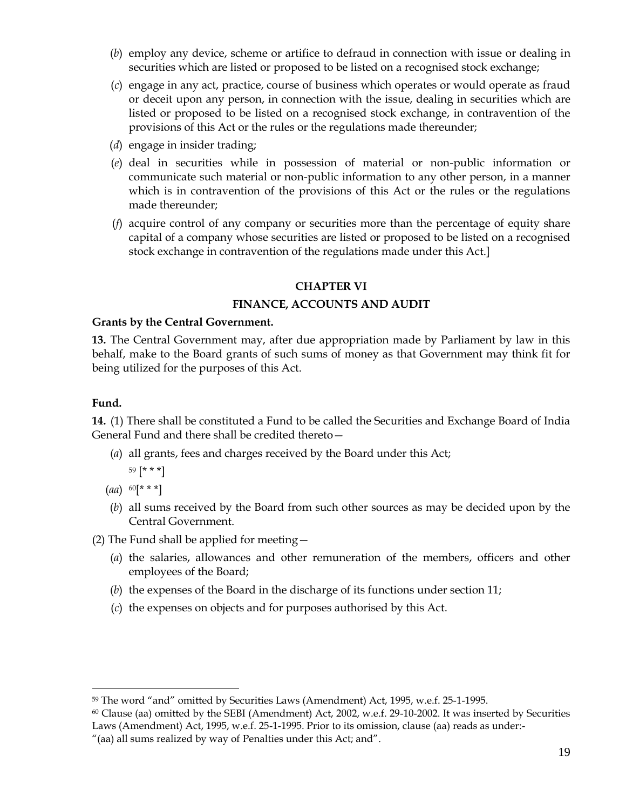- (*b*) employ any device, scheme or artifice to defraud in connection with issue or dealing in securities which are listed or proposed to be listed on a recognised stock exchange;
- (*c*) engage in any act, practice, course of business which operates or would operate as fraud or deceit upon any person, in connection with the issue, dealing in securities which are listed or proposed to be listed on a recognised stock exchange, in contravention of the provisions of this Act or the rules or the regulations made thereunder;
- (*d*) engage in insider trading;
- (*e*) deal in securities while in possession of material or non-public information or communicate such material or non-public information to any other person, in a manner which is in contravention of the provisions of this Act or the rules or the regulations made thereunder;
- (*f*) acquire control of any company or securities more than the percentage of equity share capital of a company whose securities are listed or proposed to be listed on a recognised stock exchange in contravention of the regulations made under this Act.]

## **CHAPTER VI**

## **FINANCE, ACCOUNTS AND AUDIT**

#### **Grants by the Central Government.**

**13.** The Central Government may, after due appropriation made by Parliament by law in this behalf, make to the Board grants of such sums of money as that Government may think fit for being utilized for the purposes of this Act.

### **Fund.**

 $\overline{a}$ 

**14.** (1) There shall be constituted a Fund to be called the Securities and Exchange Board of India General Fund and there shall be credited thereto—

- (*a*) all grants, fees and charges received by the Board under this Act; <sup>59</sup> [\* \* \*]
- (*aa*) <sup>60</sup>[\* \* \*]
- (*b*) all sums received by the Board from such other sources as may be decided upon by the Central Government.
- (2) The Fund shall be applied for meeting—
	- (*a*) the salaries, allowances and other remuneration of the members, officers and other employees of the Board;
	- (*b*) the expenses of the Board in the discharge of its functions under section 11;
	- (*c*) the expenses on objects and for purposes authorised by this Act.

<sup>59</sup> The word "and" omitted by Securities Laws (Amendment) Act, 1995, w.e.f. 25-1-1995.

 $60$  Clause (aa) omitted by the SEBI (Amendment) Act, 2002, w.e.f. 29-10-2002. It was inserted by Securities Laws (Amendment) Act, 1995, w.e.f. 25-1-1995. Prior to its omission, clause (aa) reads as under:-

<sup>&</sup>quot;(aa) all sums realized by way of Penalties under this Act; and".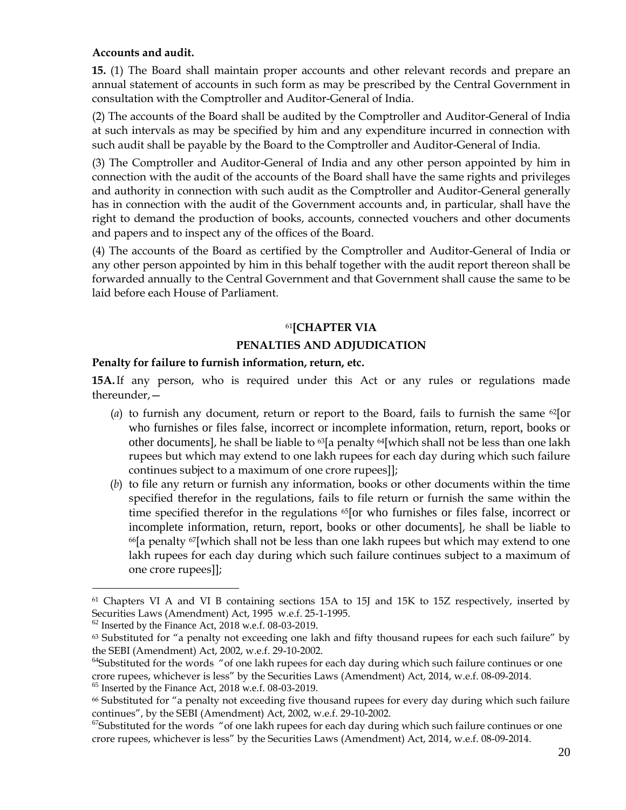## **Accounts and audit.**

**15.** (1) The Board shall maintain proper accounts and other relevant records and prepare an annual statement of accounts in such form as may be prescribed by the Central Government in consultation with the Comptroller and Auditor-General of India.

(2) The accounts of the Board shall be audited by the Comptroller and Auditor-General of India at such intervals as may be specified by him and any expenditure incurred in connection with such audit shall be payable by the Board to the Comptroller and Auditor-General of India.

(3) The Comptroller and Auditor-General of India and any other person appointed by him in connection with the audit of the accounts of the Board shall have the same rights and privileges and authority in connection with such audit as the Comptroller and Auditor-General generally has in connection with the audit of the Government accounts and, in particular, shall have the right to demand the production of books, accounts, connected vouchers and other documents and papers and to inspect any of the offices of the Board.

(4) The accounts of the Board as certified by the Comptroller and Auditor-General of India or any other person appointed by him in this behalf together with the audit report thereon shall be forwarded annually to the Central Government and that Government shall cause the same to be laid before each House of Parliament.

### <sup>61</sup>**[CHAPTER VIA**

### **PENALTIES AND ADJUDICATION**

### **Penalty for failure to furnish information, return, etc.**

**15A.**If any person, who is required under this Act or any rules or regulations made thereunder,—

- (*a*) to furnish any document, return or report to the Board, fails to furnish the same <sup>62</sup>[or who furnishes or files false, incorrect or incomplete information, return, report, books or other documents], he shall be liable to <sup>63</sup>[a penalty <sup>64</sup>[which shall not be less than one lakh rupees but which may extend to one lakh rupees for each day during which such failure continues subject to a maximum of one crore rupees]];
- (*b*) to file any return or furnish any information, books or other documents within the time specified therefor in the regulations, fails to file return or furnish the same within the time specified therefor in the regulations <sup>65</sup>[or who furnishes or files false, incorrect or incomplete information, return, report, books or other documents], he shall be liable to  $66$ [a penalty  $67$ [which shall not be less than one lakh rupees but which may extend to one lakh rupees for each day during which such failure continues subject to a maximum of one crore rupees]];

<sup>61</sup> Chapters VI A and VI B containing sections 15A to 15J and 15K to 15Z respectively, inserted by Securities Laws (Amendment) Act, 1995 w.e.f. 25-1-1995.

 $62$  Inserted by the Finance Act, 2018 w.e.f. 08-03-2019.

 $63$  Substituted for "a penalty not exceeding one lakh and fifty thousand rupees for each such failure" by the SEBI (Amendment) Act, 2002, w.e.f. 29-10-2002.

<sup>&</sup>lt;sup>64</sup>Substituted for the words "of one lakh rupees for each day during which such failure continues or one crore rupees, whichever is less" by the Securities Laws (Amendment) Act, 2014, w.e.f. 08-09-2014.  $^{65}$  Inserted by the Finance Act, 2018 w.e.f. 08-03-2019.

<sup>&</sup>lt;sup>66</sup> Substituted for "a penalty not exceeding five thousand rupees for every day during which such failure continues", by the SEBI (Amendment) Act, 2002, w.e.f. 29-10-2002.

 $67$ Substituted for the words "of one lakh rupees for each day during which such failure continues or one crore rupees, whichever is less" by the Securities Laws (Amendment) Act, 2014, w.e.f. 08-09-2014.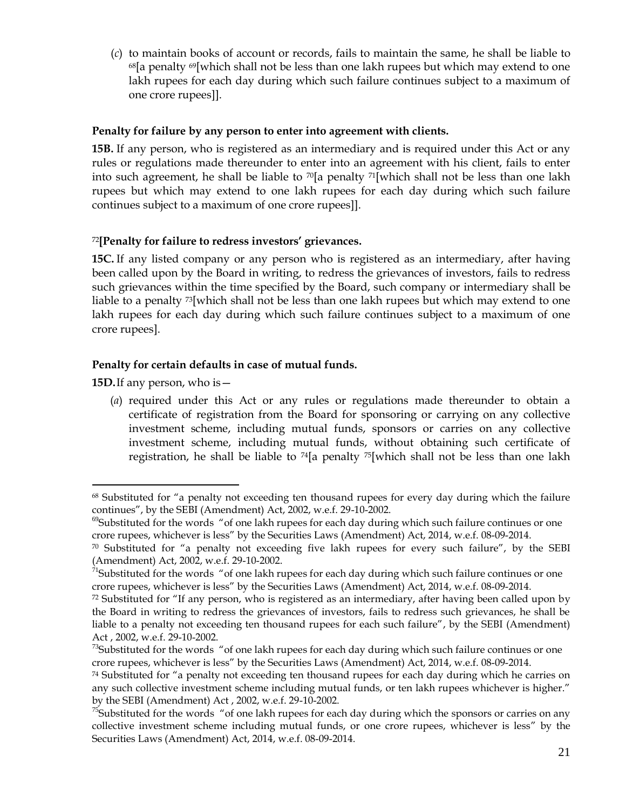(*c*) to maintain books of account or records, fails to maintain the same, he shall be liable to  $68$ [a penalty  $69$ [which shall not be less than one lakh rupees but which may extend to one lakh rupees for each day during which such failure continues subject to a maximum of one crore rupees]].

## **Penalty for failure by any person to enter into agreement with clients.**

**15B.** If any person, who is registered as an intermediary and is required under this Act or any rules or regulations made thereunder to enter into an agreement with his client, fails to enter into such agreement, he shall be liable to  $\sqrt{2}$  penalty  $\sqrt{2}$ [which shall not be less than one lakh rupees but which may extend to one lakh rupees for each day during which such failure continues subject to a maximum of one crore rupees]].

## <sup>72</sup>**[Penalty for failure to redress investors' grievances.**

**15C.** If any listed company or any person who is registered as an intermediary, after having been called upon by the Board in writing, to redress the grievances of investors, fails to redress such grievances within the time specified by the Board, such company or intermediary shall be liable to a penalty <sup>73</sup>[which shall not be less than one lakh rupees but which may extend to one lakh rupees for each day during which such failure continues subject to a maximum of one crore rupees].

# **Penalty for certain defaults in case of mutual funds.**

**15D.**If any person, who is—

 $\overline{a}$ 

(*a*) required under this Act or any rules or regulations made thereunder to obtain a certificate of registration from the Board for sponsoring or carrying on any collective investment scheme, including mutual funds, sponsors or carries on any collective investment scheme, including mutual funds, without obtaining such certificate of registration, he shall be liable to  $^{74}$ [a penalty  $^{75}$ [which shall not be less than one lakh

<sup>&</sup>lt;sup>68</sup> Substituted for "a penalty not exceeding ten thousand rupees for every day during which the failure continues", by the SEBI (Amendment) Act, 2002, w.e.f. 29-10-2002.

<sup>&</sup>lt;sup>69</sup>Substituted for the words "of one lakh rupees for each day during which such failure continues or one crore rupees, whichever is less" by the Securities Laws (Amendment) Act, 2014, w.e.f. 08-09-2014.

 $70$  Substituted for "a penalty not exceeding five lakh rupees for every such failure", by the SEBI (Amendment) Act, 2002, w.e.f. 29-10-2002.

<sup>&</sup>lt;sup>71</sup>Substituted for the words "of one lakh rupees for each day during which such failure continues or one crore rupees, whichever is less" by the Securities Laws (Amendment) Act, 2014, w.e.f. 08-09-2014.

 $72$  Substituted for "If any person, who is registered as an intermediary, after having been called upon by the Board in writing to redress the grievances of investors, fails to redress such grievances, he shall be liable to a penalty not exceeding ten thousand rupees for each such failure", by the SEBI (Amendment) Act , 2002, w.e.f. 29-10-2002.

 $73$ Substituted for the words "of one lakh rupees for each day during which such failure continues or one crore rupees, whichever is less" by the Securities Laws (Amendment) Act, 2014, w.e.f. 08-09-2014.

 $74$  Substituted for "a penalty not exceeding ten thousand rupees for each day during which he carries on any such collective investment scheme including mutual funds, or ten lakh rupees whichever is higher." by the SEBI (Amendment) Act , 2002, w.e.f. 29-10-2002.

 $75$ Substituted for the words "of one lakh rupees for each day during which the sponsors or carries on any collective investment scheme including mutual funds, or one crore rupees, whichever is less" by the Securities Laws (Amendment) Act, 2014, w.e.f. 08-09-2014.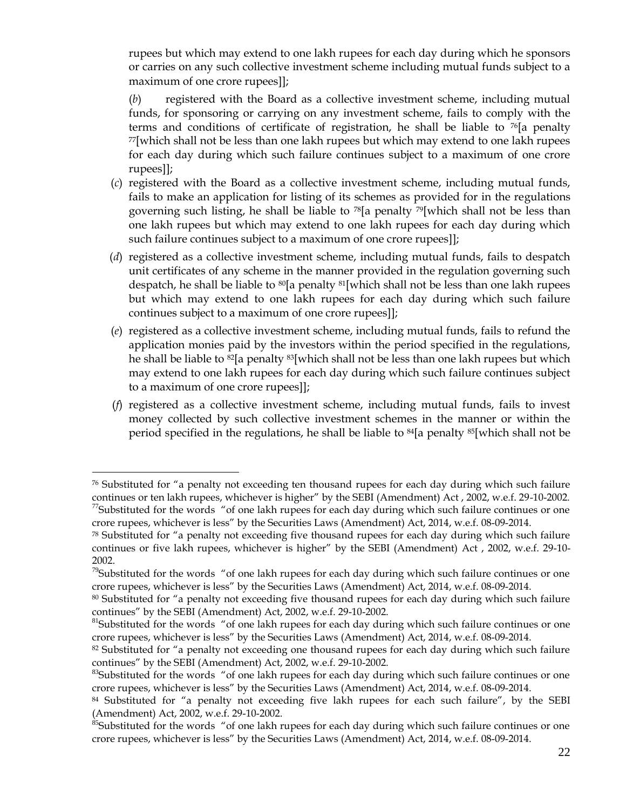rupees but which may extend to one lakh rupees for each day during which he sponsors or carries on any such collective investment scheme including mutual funds subject to a maximum of one crore rupees]];

(*b*) registered with the Board as a collective investment scheme, including mutual funds, for sponsoring or carrying on any investment scheme, fails to comply with the terms and conditions of certificate of registration, he shall be liable to  $\frac{76}{16}$  penalty <sup>77</sup>[which shall not be less than one lakh rupees but which may extend to one lakh rupees for each day during which such failure continues subject to a maximum of one crore rupees]];

- (*c*) registered with the Board as a collective investment scheme, including mutual funds, fails to make an application for listing of its schemes as provided for in the regulations governing such listing, he shall be liable to  $\frac{78}{9}$  penalty  $\frac{79}{1}$  which shall not be less than one lakh rupees but which may extend to one lakh rupees for each day during which such failure continues subject to a maximum of one crore rupees]];
- (*d*) registered as a collective investment scheme, including mutual funds, fails to despatch unit certificates of any scheme in the manner provided in the regulation governing such despatch, he shall be liable to  $\mathcal{B}[\mathsf{a}]$  penalty  $\mathcal{B}[\mathsf{w}]\text{hich shall not be less than one lakh rupees}$ but which may extend to one lakh rupees for each day during which such failure continues subject to a maximum of one crore rupees]];
- (*e*) registered as a collective investment scheme, including mutual funds, fails to refund the application monies paid by the investors within the period specified in the regulations, he shall be liable to  $^{82}$ [a penalty  $^{83}$ [which shall not be less than one lakh rupees but which may extend to one lakh rupees for each day during which such failure continues subject to a maximum of one crore rupees]];
- (*f*) registered as a collective investment scheme, including mutual funds, fails to invest money collected by such collective investment schemes in the manner or within the period specified in the regulations, he shall be liable to <sup>84</sup>[a penalty <sup>85</sup>[which shall not be

 $76$  Substituted for "a penalty not exceeding ten thousand rupees for each day during which such failure continues or ten lakh rupees, whichever is higher" by the SEBI (Amendment) Act , 2002, w.e.f. 29-10-2002.  $77$ Substituted for the words "of one lakh rupees for each day during which such failure continues or one crore rupees, whichever is less" by the Securities Laws (Amendment) Act, 2014, w.e.f. 08-09-2014.

 $78$  Substituted for "a penalty not exceeding five thousand rupees for each day during which such failure continues or five lakh rupees, whichever is higher" by the SEBI (Amendment) Act , 2002, w.e.f. 29-10- 2002.

 $79$ Substituted for the words "of one lakh rupees for each day during which such failure continues or one crore rupees, whichever is less" by the Securities Laws (Amendment) Act, 2014, w.e.f. 08-09-2014.

<sup>&</sup>lt;sup>80</sup> Substituted for "a penalty not exceeding five thousand rupees for each day during which such failure continues" by the SEBI (Amendment) Act, 2002, w.e.f. 29-10-2002.

<sup>&</sup>lt;sup>81</sup>Substituted for the words "of one lakh rupees for each day during which such failure continues or one crore rupees, whichever is less" by the Securities Laws (Amendment) Act, 2014, w.e.f. 08-09-2014.

 $82$  Substituted for "a penalty not exceeding one thousand rupees for each day during which such failure continues" by the SEBI (Amendment) Act, 2002, w.e.f. 29-10-2002.

<sup>&</sup>lt;sup>83</sup>Substituted for the words "of one lakh rupees for each day during which such failure continues or one crore rupees, whichever is less" by the Securities Laws (Amendment) Act, 2014, w.e.f. 08-09-2014.

<sup>84</sup> Substituted for "a penalty not exceeding five lakh rupees for each such failure", by the SEBI (Amendment) Act, 2002, w.e.f. 29-10-2002.

<sup>&</sup>lt;sup>85</sup>Substituted for the words "of one lakh rupees for each day during which such failure continues or one crore rupees, whichever is less" by the Securities Laws (Amendment) Act, 2014, w.e.f. 08-09-2014.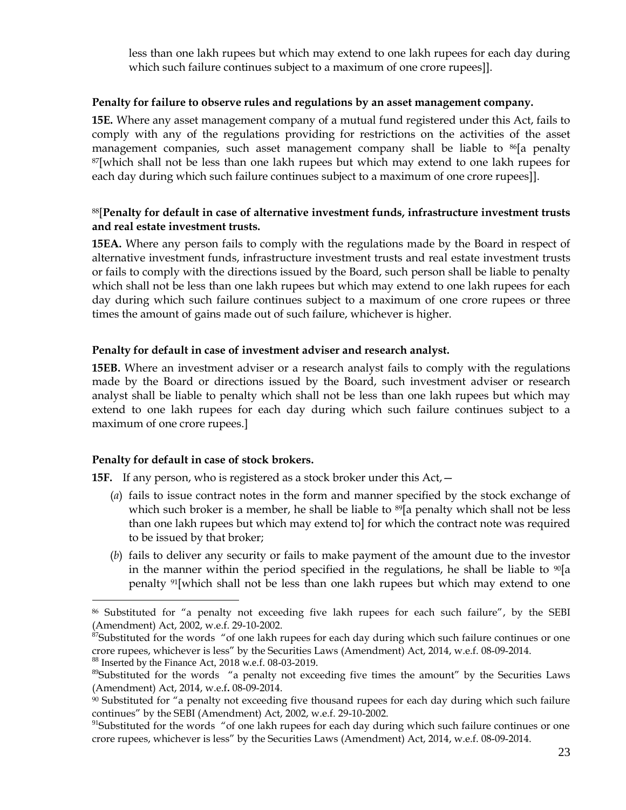less than one lakh rupees but which may extend to one lakh rupees for each day during which such failure continues subject to a maximum of one crore rupees]].

### **Penalty for failure to observe rules and regulations by an asset management company.**

**15E.** Where any asset management company of a mutual fund registered under this Act, fails to comply with any of the regulations providing for restrictions on the activities of the asset management companies, such asset management company shall be liable to  $^{86}$ [a penalty <sup>87</sup>[which shall not be less than one lakh rupees but which may extend to one lakh rupees for each day during which such failure continues subject to a maximum of one crore rupees]].

## <sup>88</sup>[**Penalty for default in case of alternative investment funds, infrastructure investment trusts and real estate investment trusts.**

**15EA.** Where any person fails to comply with the regulations made by the Board in respect of alternative investment funds, infrastructure investment trusts and real estate investment trusts or fails to comply with the directions issued by the Board, such person shall be liable to penalty which shall not be less than one lakh rupees but which may extend to one lakh rupees for each day during which such failure continues subject to a maximum of one crore rupees or three times the amount of gains made out of such failure, whichever is higher.

## **Penalty for default in case of investment adviser and research analyst.**

**15EB.** Where an investment adviser or a research analyst fails to comply with the regulations made by the Board or directions issued by the Board, such investment adviser or research analyst shall be liable to penalty which shall not be less than one lakh rupees but which may extend to one lakh rupees for each day during which such failure continues subject to a maximum of one crore rupees.]

## **Penalty for default in case of stock brokers.**

**15F.** If any person, who is registered as a stock broker under this Act,  $-$ 

- (*a*) fails to issue contract notes in the form and manner specified by the stock exchange of which such broker is a member, he shall be liable to <sup>89</sup>[a penalty which shall not be less than one lakh rupees but which may extend to] for which the contract note was required to be issued by that broker;
- (*b*) fails to deliver any security or fails to make payment of the amount due to the investor in the manner within the period specified in the regulations, he shall be liable to  $\frac{90}{a}$ penalty 91[which shall not be less than one lakh rupees but which may extend to one

<sup>88</sup> Inserted by the Finance Act, 2018 w.e.f. 08-03-2019.

<sup>86</sup> Substituted for "a penalty not exceeding five lakh rupees for each such failure", by the SEBI (Amendment) Act, 2002, w.e.f. 29-10-2002.

<sup>&</sup>lt;sup>87</sup>Substituted for the words "of one lakh rupees for each day during which such failure continues or one crore rupees, whichever is less" by the Securities Laws (Amendment) Act, 2014, w.e.f. 08-09-2014.

<sup>&</sup>lt;sup>89</sup>Substituted for the words "a penalty not exceeding five times the amount" by the Securities Laws (Amendment) Act, 2014, w.e.f**.** 08-09-2014.

 $90$  Substituted for "a penalty not exceeding five thousand rupees for each day during which such failure continues" by the SEBI (Amendment) Act, 2002, w.e.f. 29-10-2002.

<sup>&</sup>lt;sup>91</sup>Substituted for the words "of one lakh rupees for each day during which such failure continues or one crore rupees, whichever is less" by the Securities Laws (Amendment) Act, 2014, w.e.f. 08-09-2014.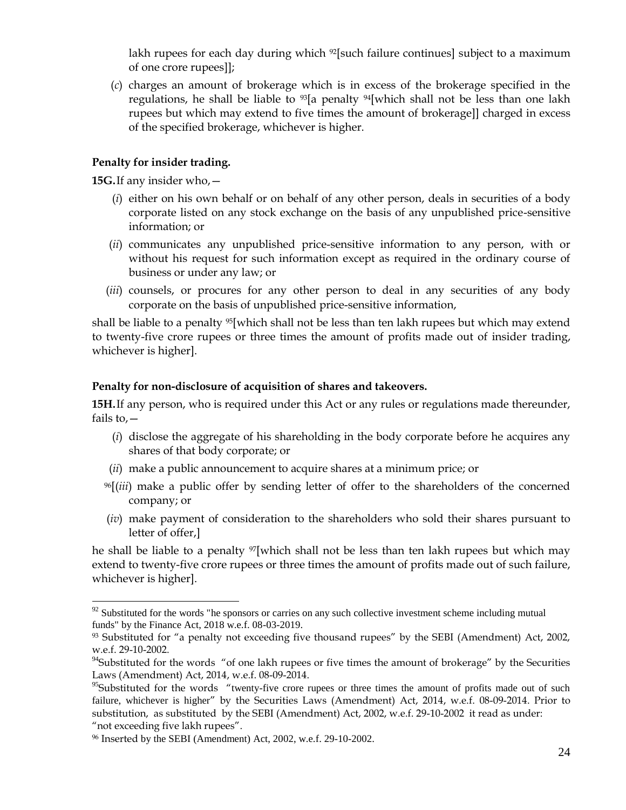lakh rupees for each day during which <sup>92</sup>[such failure continues] subject to a maximum of one crore rupees]];

(*c*) charges an amount of brokerage which is in excess of the brokerage specified in the regulations, he shall be liable to  $\frac{93}{a}$  penalty  $\frac{94}{b}$  which shall not be less than one lakh rupees but which may extend to five times the amount of brokerage]] charged in excess of the specified brokerage, whichever is higher.

## **Penalty for insider trading.**

**15G.**If any insider who,—

 $\overline{a}$ 

- (*i*) either on his own behalf or on behalf of any other person, deals in securities of a body corporate listed on any stock exchange on the basis of any unpublished price-sensitive information; or
- (*ii*) communicates any unpublished price-sensitive information to any person, with or without his request for such information except as required in the ordinary course of business or under any law; or
- (*iii*) counsels, or procures for any other person to deal in any securities of any body corporate on the basis of unpublished price-sensitive information,

shall be liable to a penalty  $95$ [which shall not be less than ten lakh rupees but which may extend to twenty-five crore rupees or three times the amount of profits made out of insider trading, whichever is higher].

### **Penalty for non-disclosure of acquisition of shares and takeovers.**

**15H.**If any person, who is required under this Act or any rules or regulations made thereunder, fails to $-$ 

- (*i*) disclose the aggregate of his shareholding in the body corporate before he acquires any shares of that body corporate; or
- (*ii*) make a public announcement to acquire shares at a minimum price; or
- <sup>96</sup>[(*iii*) make a public offer by sending letter of offer to the shareholders of the concerned company; or
- (*iv*) make payment of consideration to the shareholders who sold their shares pursuant to letter of offer,]

he shall be liable to a penalty <sup>97</sup>[which shall not be less than ten lakh rupees but which may extend to twenty-five crore rupees or three times the amount of profits made out of such failure, whichever is higher].

 $92$  Substituted for the words "he sponsors or carries on any such collective investment scheme including mutual funds" by the Finance Act, 2018 w.e.f. 08-03-2019.

 $93$  Substituted for "a penalty not exceeding five thousand rupees" by the SEBI (Amendment) Act, 2002, w.e.f. 29-10-2002.

<sup>&</sup>lt;sup>94</sup>Substituted for the words "of one lakh rupees or five times the amount of brokerage" by the Securities Laws (Amendment) Act, 2014, w.e.f. 08-09-2014.

<sup>&</sup>lt;sup>95</sup>Substituted for the words "twenty-five crore rupees or three times the amount of profits made out of such failure, whichever is higher" by the Securities Laws (Amendment) Act, 2014, w.e.f. 08-09-2014. Prior to substitution, as substituted by the SEBI (Amendment) Act, 2002, w.e.f. 29-10-2002 it read as under: "not exceeding five lakh rupees".

<sup>96</sup> Inserted by the SEBI (Amendment) Act, 2002, w.e.f. 29-10-2002.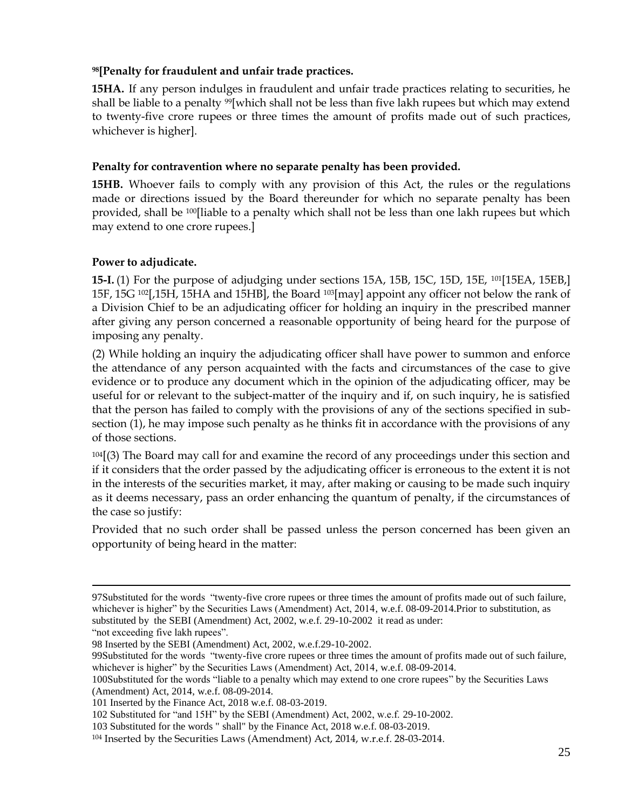# **<sup>98</sup>[Penalty for fraudulent and unfair trade practices.**

**15HA.** If any person indulges in fraudulent and unfair trade practices relating to securities, he shall be liable to a penalty <sup>99</sup>[which shall not be less than five lakh rupees but which may extend to twenty-five crore rupees or three times the amount of profits made out of such practices, whichever is higher].

## **Penalty for contravention where no separate penalty has been provided.**

**15HB.** Whoever fails to comply with any provision of this Act, the rules or the regulations made or directions issued by the Board thereunder for which no separate penalty has been provided, shall be 100[liable to a penalty which shall not be less than one lakh rupees but which may extend to one crore rupees.]

## **Power to adjudicate.**

 $\overline{a}$ 

**15-I.** (1) For the purpose of adjudging under sections 15A, 15B, 15C, 15D, 15E, <sup>101</sup>[15EA, 15EB,] 15F, 15G 102[,15H, 15HA and 15HB], the Board 103[may] appoint any officer not below the rank of a Division Chief to be an adjudicating officer for holding an inquiry in the prescribed manner after giving any person concerned a reasonable opportunity of being heard for the purpose of imposing any penalty.

(2) While holding an inquiry the adjudicating officer shall have power to summon and enforce the attendance of any person acquainted with the facts and circumstances of the case to give evidence or to produce any document which in the opinion of the adjudicating officer, may be useful for or relevant to the subject-matter of the inquiry and if, on such inquiry, he is satisfied that the person has failed to comply with the provisions of any of the sections specified in subsection (1), he may impose such penalty as he thinks fit in accordance with the provisions of any of those sections.

<sup>104</sup>[(3) The Board may call for and examine the record of any proceedings under this section and if it considers that the order passed by the adjudicating officer is erroneous to the extent it is not in the interests of the securities market, it may, after making or causing to be made such inquiry as it deems necessary, pass an order enhancing the quantum of penalty, if the circumstances of the case so justify:

Provided that no such order shall be passed unless the person concerned has been given an opportunity of being heard in the matter:

<sup>97</sup>Substituted for the words "twenty-five crore rupees or three times the amount of profits made out of such failure, whichever is higher" by the Securities Laws (Amendment) Act, 2014, w.e.f. 08-09-2014.Prior to substitution, as substituted by the SEBI (Amendment) Act, 2002, w.e.f. 29-10-2002 it read as under: "not exceeding five lakh rupees".

<sup>98</sup> Inserted by the SEBI (Amendment) Act, 2002, w.e.f.29-10-2002.

<sup>99</sup>Substituted for the words "twenty-five crore rupees or three times the amount of profits made out of such failure, whichever is higher" by the Securities Laws (Amendment) Act, 2014, w.e.f. 08-09-2014.

<sup>100</sup>Substituted for the words "liable to a penalty which may extend to one crore rupees" by the Securities Laws (Amendment) Act, 2014, w.e.f. 08-09-2014.

<sup>101</sup> Inserted by the Finance Act, 2018 w.e.f. 08-03-2019.

<sup>102</sup> Substituted for "and 15H" by the SEBI (Amendment) Act, 2002, w.e.f. 29-10-2002.

<sup>103</sup> Substituted for the words " shall" by the Finance Act, 2018 w.e.f. 08-03-2019.

<sup>104</sup> Inserted by the Securities Laws (Amendment) Act, 2014, w.r.e.f. 28-03-2014.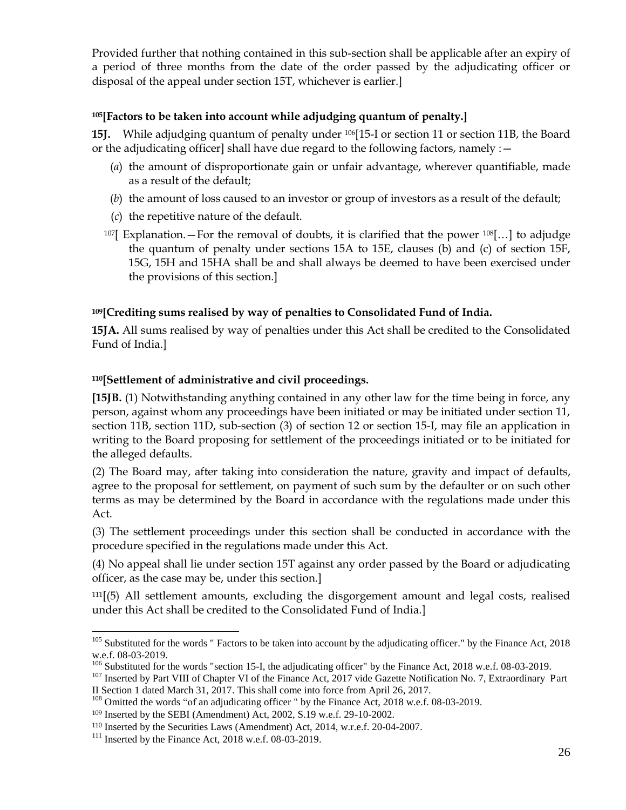Provided further that nothing contained in this sub-section shall be applicable after an expiry of a period of three months from the date of the order passed by the adjudicating officer or disposal of the appeal under section 15T, whichever is earlier.]

## **<sup>105</sup>[Factors to be taken into account while adjudging quantum of penalty.]**

**15J.** While adjudging quantum of penalty under 106[15-I or section 11 or section 11B, the Board or the adjudicating officer] shall have due regard to the following factors, namely  $:$   $-$ 

- (*a*) the amount of disproportionate gain or unfair advantage, wherever quantifiable, made as a result of the default;
- (*b*) the amount of loss caused to an investor or group of investors as a result of the default;
- (*c*) the repetitive nature of the default.
- $107$ [ Explanation. For the removal of doubts, it is clarified that the power  $108$ [...] to adjudge the quantum of penalty under sections 15A to 15E, clauses (b) and (c) of section 15F, 15G, 15H and 15HA shall be and shall always be deemed to have been exercised under the provisions of this section.]

# **<sup>109</sup>[Crediting sums realised by way of penalties to Consolidated Fund of India.**

**15JA.** All sums realised by way of penalties under this Act shall be credited to the Consolidated Fund of India.]

# **<sup>110</sup>[Settlement of administrative and civil proceedings.**

**[15JB.** (1) Notwithstanding anything contained in any other law for the time being in force, any person, against whom any proceedings have been initiated or may be initiated under section 11, section 11B, section 11D, sub-section (3) of section 12 or section 15-I, may file an application in writing to the Board proposing for settlement of the proceedings initiated or to be initiated for the alleged defaults.

(2) The Board may, after taking into consideration the nature, gravity and impact of defaults, agree to the proposal for settlement, on payment of such sum by the defaulter or on such other terms as may be determined by the Board in accordance with the regulations made under this Act.

(3) The settlement proceedings under this section shall be conducted in accordance with the procedure specified in the regulations made under this Act.

(4) No appeal shall lie under section 15T against any order passed by the Board or adjudicating officer, as the case may be, under this section.]

<sup>111</sup>[(5) All settlement amounts, excluding the disgorgement amount and legal costs, realised under this Act shall be credited to the Consolidated Fund of India.]

 $105$  Substituted for the words " Factors to be taken into account by the adjudicating officer." by the Finance Act, 2018 w.e.f. 08-03-2019.

 $106$  Substituted for the words "section 15-I, the adjudicating officer" by the Finance Act, 2018 w.e.f. 08-03-2019.

<sup>&</sup>lt;sup>107</sup> Inserted by Part VIII of Chapter VI of the Finance Act, 2017 vide Gazette Notification No. 7, Extraordinary Part II Section 1 dated March 31, 2017. This shall come into force from April 26, 2017.

<sup>&</sup>lt;sup>108</sup> Omitted the words "of an adjudicating officer " by the Finance Act, 2018 w.e.f. 08-03-2019.

<sup>109</sup> Inserted by the SEBI (Amendment) Act, 2002, S.19 w.e.f. 29-10-2002.

<sup>110</sup> Inserted by the Securities Laws (Amendment) Act, 2014, w.r.e.f. 20-04-2007.

 $111$  Inserted by the Finance Act, 2018 w.e.f. 08-03-2019.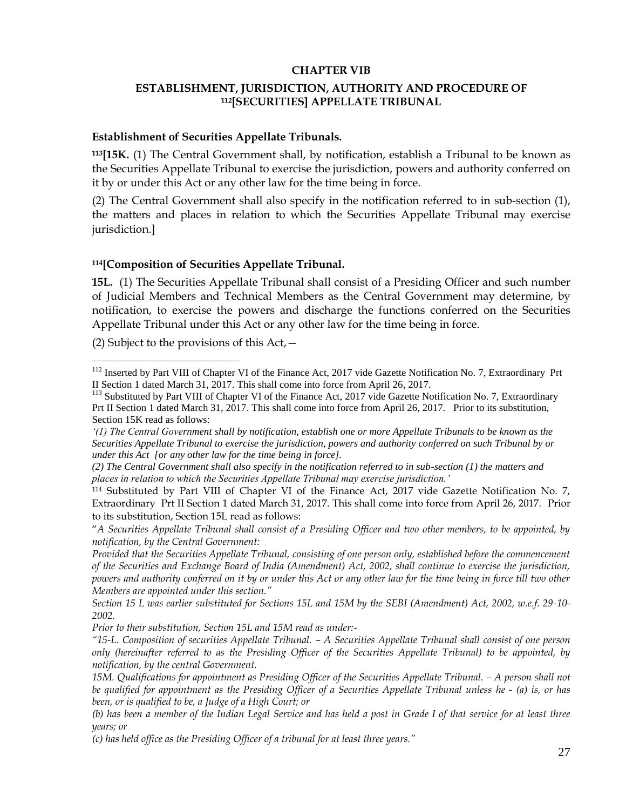#### **CHAPTER VIB**

### **ESTABLISHMENT, JURISDICTION, AUTHORITY AND PROCEDURE OF <sup>112</sup>[SECURITIES] APPELLATE TRIBUNAL**

#### **Establishment of Securities Appellate Tribunals.**

**<sup>113</sup>[15K.** (1) The Central Government shall, by notification, establish a Tribunal to be known as the Securities Appellate Tribunal to exercise the jurisdiction, powers and authority conferred on it by or under this Act or any other law for the time being in force.

(2) The Central Government shall also specify in the notification referred to in sub-section (1), the matters and places in relation to which the Securities Appellate Tribunal may exercise jurisdiction.]

#### **<sup>114</sup>[Composition of Securities Appellate Tribunal.**

**15L.** (1) The Securities Appellate Tribunal shall consist of a Presiding Officer and such number of Judicial Members and Technical Members as the Central Government may determine, by notification, to exercise the powers and discharge the functions conferred on the Securities Appellate Tribunal under this Act or any other law for the time being in force.

(2) Subject to the provisions of this  $Act, -$ 

 $\overline{a}$ 

*Prior to their substitution, Section 15L and 15M read as under:-*

<sup>&</sup>lt;sup>112</sup> Inserted by Part VIII of Chapter VI of the Finance Act, 2017 vide Gazette Notification No. 7, Extraordinary Prt II Section 1 dated March 31, 2017. This shall come into force from April 26, 2017.

<sup>&</sup>lt;sup>113</sup> Substituted by Part VIII of Chapter VI of the Finance Act, 2017 vide Gazette Notification No. 7, Extraordinary Prt II Section 1 dated March 31, 2017. This shall come into force from April 26, 2017. Prior to its substitution, Section 15K read as follows:

*<sup>&#</sup>x27;(1) The Central Government shall by notification, establish one or more Appellate Tribunals to be known as the Securities Appellate Tribunal to exercise the jurisdiction, powers and authority conferred on such Tribunal by or under this Act [or any other law for the time being in force].*

*<sup>(2)</sup> The Central Government shall also specify in the notification referred to in sub-section (1) the matters and places in relation to which the Securities Appellate Tribunal may exercise jurisdiction.'*

<sup>114</sup> Substituted by Part VIII of Chapter VI of the Finance Act, 2017 vide Gazette Notification No. 7, Extraordinary Prt II Section 1 dated March 31, 2017. This shall come into force from April 26, 2017. Prior to its substitution, Section 15L read as follows:

<sup>&</sup>quot;*A Securities Appellate Tribunal shall consist of a Presiding Officer and two other members, to be appointed, by notification, by the Central Government:*

*Provided that the Securities Appellate Tribunal, consisting of one person only, established before the commencement of the Securities and Exchange Board of India (Amendment) Act, 2002, shall continue to exercise the jurisdiction, powers and authority conferred on it by or under this Act or any other law for the time being in force till two other Members are appointed under this section."*

*Section 15 L was earlier substituted for Sections 15L and 15M by the SEBI (Amendment) Act, 2002, w.e.f. 29-10- 2002.*

*<sup>&</sup>quot;15-L. Composition of securities Appellate Tribunal. – A Securities Appellate Tribunal shall consist of one person only (hereinafter referred to as the Presiding Officer of the Securities Appellate Tribunal) to be appointed, by notification, by the central Government.*

<sup>15</sup>M. Qualifications for appointment as Presiding Officer of the Securities Appellate Tribunal. – A person shall not *be qualified for appointment as the Presiding Officer of a Securities Appellate Tribunal unless he - (a) is, or has been, or is qualified to be, a Judge of a High Court; or*

*<sup>(</sup>b) has been a member of the Indian Legal Service and has held a post in Grade I of that service for at least three years; or*

*<sup>(</sup>c) has held office as the Presiding Officer of a tribunal for at least three years."*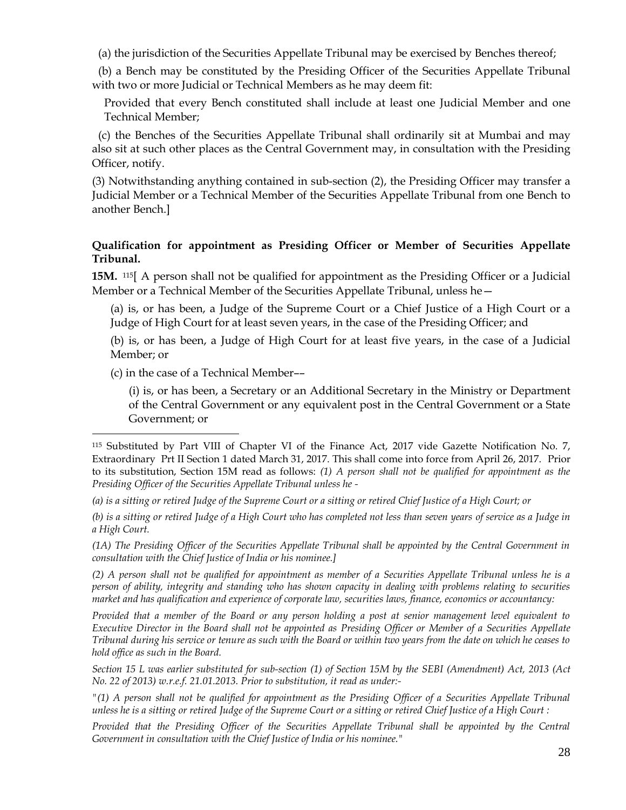(a) the jurisdiction of the Securities Appellate Tribunal may be exercised by Benches thereof;

(b) a Bench may be constituted by the Presiding Officer of the Securities Appellate Tribunal with two or more Judicial or Technical Members as he may deem fit:

Provided that every Bench constituted shall include at least one Judicial Member and one Technical Member;

(c) the Benches of the Securities Appellate Tribunal shall ordinarily sit at Mumbai and may also sit at such other places as the Central Government may, in consultation with the Presiding Officer, notify.

(3) Notwithstanding anything contained in sub-section (2), the Presiding Officer may transfer a Judicial Member or a Technical Member of the Securities Appellate Tribunal from one Bench to another Bench.]

## **Qualification for appointment as Presiding Officer or Member of Securities Appellate Tribunal.**

**15M.** 115 A person shall not be qualified for appointment as the Presiding Officer or a Judicial Member or a Technical Member of the Securities Appellate Tribunal, unless he—

(a) is, or has been, a Judge of the Supreme Court or a Chief Justice of a High Court or a Judge of High Court for at least seven years, in the case of the Presiding Officer; and

(b) is, or has been, a Judge of High Court for at least five years, in the case of a Judicial Member; or

(c) in the case of a Technical Member––

 $\overline{a}$ 

(i) is, or has been, a Secretary or an Additional Secretary in the Ministry or Department of the Central Government or any equivalent post in the Central Government or a State Government; or

*(2) A person shall not be qualified for appointment as member of a Securities Appellate Tribunal unless he is a person of ability, integrity and standing who has shown capacity in dealing with problems relating to securities market and has qualification and experience of corporate law, securities laws, finance, economics or accountancy:*

*Provided that a member of the Board or any person holding a post at senior management level equivalent to Executive Director in the Board shall not be appointed as Presiding Officer or Member of a Securities Appellate Tribunal during his service or tenure as such with the Board or within two years from the date on which he ceases to hold office as such in the Board.*

*Section 15 L was earlier substituted for sub-section (1) of Section 15M by the SEBI (Amendment) Act, 2013 (Act No. 22 of 2013) w.r.e.f. 21.01.2013. Prior to substitution, it read as under:-*

*"(1) A person shall not be qualified for appointment as the Presiding Officer of a Securities Appellate Tribunal unless he is a sitting or retired Judge of the Supreme Court or a sitting or retired Chief Justice of a High Court :*

*Provided that the Presiding Officer of the Securities Appellate Tribunal shall be appointed by the Central Government in consultation with the Chief Justice of India or his nominee."*

<sup>115</sup> Substituted by Part VIII of Chapter VI of the Finance Act, 2017 vide Gazette Notification No. 7, Extraordinary Prt II Section 1 dated March 31, 2017. This shall come into force from April 26, 2017. Prior to its substitution, Section 15M read as follows: *(1) A person shall not be qualified for appointment as the Presiding Officer of the Securities Appellate Tribunal unless he -*

*<sup>(</sup>a) is a sitting or retired Judge of the Supreme Court or a sitting or retired Chief Justice of a High Court; or*

*<sup>(</sup>b) is a sitting or retired Judge of a High Court who has completed not less than seven years of service as a Judge in a High Court.* 

*<sup>(1</sup>A) The Presiding Officer of the Securities Appellate Tribunal shall be appointed by the Central Government in consultation with the Chief Justice of India or his nominee.]*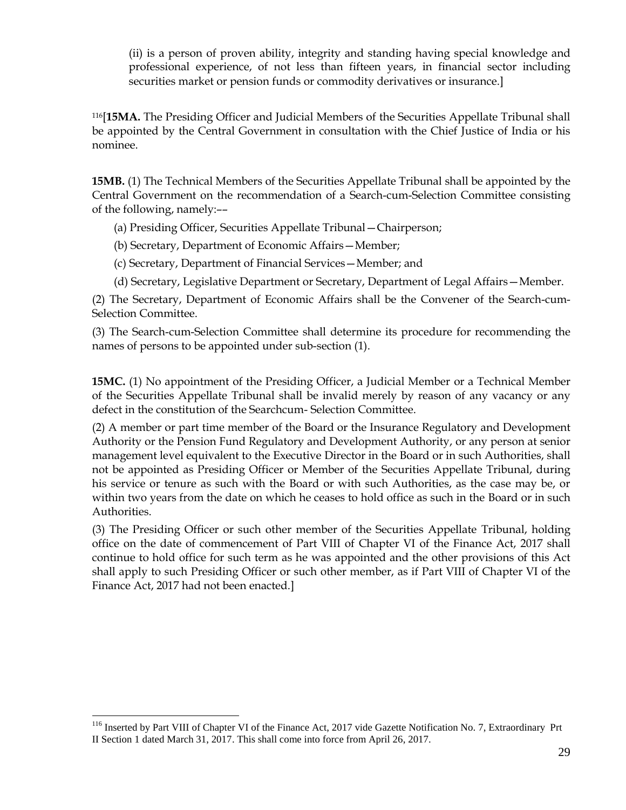(ii) is a person of proven ability, integrity and standing having special knowledge and professional experience, of not less than fifteen years, in financial sector including securities market or pension funds or commodity derivatives or insurance.]

<sup>116</sup>[**15MA.** The Presiding Officer and Judicial Members of the Securities Appellate Tribunal shall be appointed by the Central Government in consultation with the Chief Justice of India or his nominee.

**15MB.** (1) The Technical Members of the Securities Appellate Tribunal shall be appointed by the Central Government on the recommendation of a Search-cum-Selection Committee consisting of the following, namely:––

(a) Presiding Officer, Securities Appellate Tribunal—Chairperson;

(b) Secretary, Department of Economic Affairs—Member;

(c) Secretary, Department of Financial Services—Member; and

(d) Secretary, Legislative Department or Secretary, Department of Legal Affairs—Member.

(2) The Secretary, Department of Economic Affairs shall be the Convener of the Search-cum-Selection Committee.

(3) The Search-cum-Selection Committee shall determine its procedure for recommending the names of persons to be appointed under sub-section (1).

**15MC.** (1) No appointment of the Presiding Officer, a Judicial Member or a Technical Member of the Securities Appellate Tribunal shall be invalid merely by reason of any vacancy or any defect in the constitution of the Searchcum- Selection Committee.

(2) A member or part time member of the Board or the Insurance Regulatory and Development Authority or the Pension Fund Regulatory and Development Authority, or any person at senior management level equivalent to the Executive Director in the Board or in such Authorities, shall not be appointed as Presiding Officer or Member of the Securities Appellate Tribunal, during his service or tenure as such with the Board or with such Authorities, as the case may be, or within two years from the date on which he ceases to hold office as such in the Board or in such Authorities.

(3) The Presiding Officer or such other member of the Securities Appellate Tribunal, holding office on the date of commencement of Part VIII of Chapter VI of the Finance Act, 2017 shall continue to hold office for such term as he was appointed and the other provisions of this Act shall apply to such Presiding Officer or such other member, as if Part VIII of Chapter VI of the Finance Act, 2017 had not been enacted.]

<sup>&</sup>lt;sup>116</sup> Inserted by Part VIII of Chapter VI of the Finance Act, 2017 vide Gazette Notification No. 7, Extraordinary Prt II Section 1 dated March 31, 2017. This shall come into force from April 26, 2017.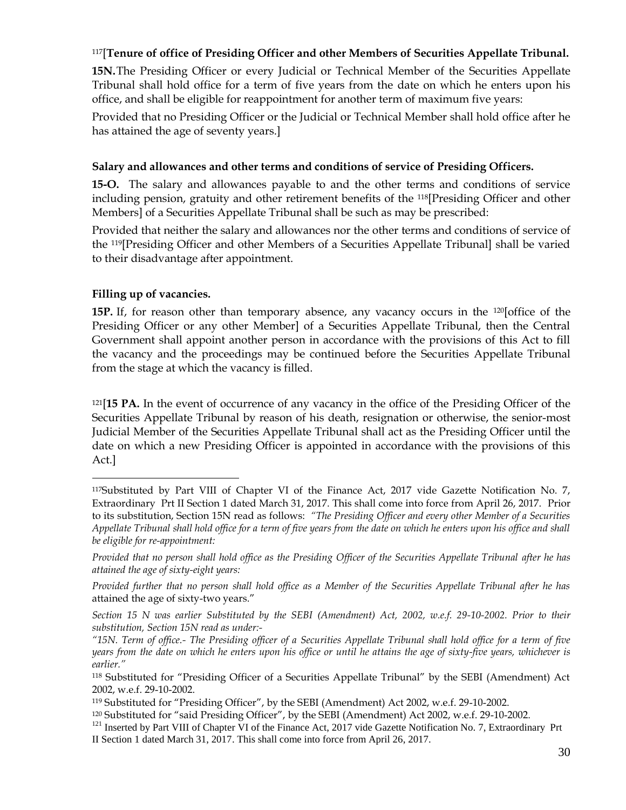# <sup>117</sup>[**Tenure of office of Presiding Officer and other Members of Securities Appellate Tribunal.**

**15N.**The Presiding Officer or every Judicial or Technical Member of the Securities Appellate Tribunal shall hold office for a term of five years from the date on which he enters upon his office, and shall be eligible for reappointment for another term of maximum five years:

Provided that no Presiding Officer or the Judicial or Technical Member shall hold office after he has attained the age of seventy years.]

## **Salary and allowances and other terms and conditions of service of Presiding Officers.**

**15-O.** The salary and allowances payable to and the other terms and conditions of service including pension, gratuity and other retirement benefits of the 118[Presiding Officer and other Members] of a Securities Appellate Tribunal shall be such as may be prescribed:

Provided that neither the salary and allowances nor the other terms and conditions of service of the 119[Presiding Officer and other Members of a Securities Appellate Tribunal] shall be varied to their disadvantage after appointment.

# **Filling up of vacancies.**

 $\overline{a}$ 

**15P.** If, for reason other than temporary absence, any vacancy occurs in the <sup>120</sup> [office of the Presiding Officer or any other Member] of a Securities Appellate Tribunal, then the Central Government shall appoint another person in accordance with the provisions of this Act to fill the vacancy and the proceedings may be continued before the Securities Appellate Tribunal from the stage at which the vacancy is filled.

<sup>121</sup>[**15 PA.** In the event of occurrence of any vacancy in the office of the Presiding Officer of the Securities Appellate Tribunal by reason of his death, resignation or otherwise, the senior-most Judicial Member of the Securities Appellate Tribunal shall act as the Presiding Officer until the date on which a new Presiding Officer is appointed in accordance with the provisions of this Act.]

<sup>117</sup>Substituted by Part VIII of Chapter VI of the Finance Act, 2017 vide Gazette Notification No. 7, Extraordinary Prt II Section 1 dated March 31, 2017. This shall come into force from April 26, 2017. Prior to its substitution, Section 15N read as follows: *"The Presiding Officer and every other Member of a Securities Appellate Tribunal shall hold office for a term of five years from the date on which he enters upon his office and shall be eligible for re-appointment:*

*Provided that no person shall hold office as the Presiding Officer of the Securities Appellate Tribunal after he has attained the age of sixty-eight years:*

*Provided further that no person shall hold office as a Member of the Securities Appellate Tribunal after he has*  attained the age of sixty-two years."

*Section 15 N was earlier Substituted by the SEBI (Amendment) Act, 2002, w.e.f. 29-10-2002. Prior to their substitution, Section 15N read as under:-*

*<sup>&</sup>quot;15N. Term of office.- The Presiding officer of a Securities Appellate Tribunal shall hold office for a term of five years from the date on which he enters upon his office or until he attains the age of sixty-five years, whichever is earlier."*

<sup>118</sup> Substituted for "Presiding Officer of a Securities Appellate Tribunal" by the SEBI (Amendment) Act 2002, w.e.f. 29-10-2002.

<sup>119</sup> Substituted for "Presiding Officer", by the SEBI (Amendment) Act 2002, w.e.f. 29-10-2002.

<sup>120</sup> Substituted for "said Presiding Officer", by the SEBI (Amendment) Act 2002, w.e.f. 29-10-2002.

<sup>&</sup>lt;sup>121</sup> Inserted by Part VIII of Chapter VI of the Finance Act, 2017 vide Gazette Notification No. 7, Extraordinary Prt II Section 1 dated March 31, 2017. This shall come into force from April 26, 2017.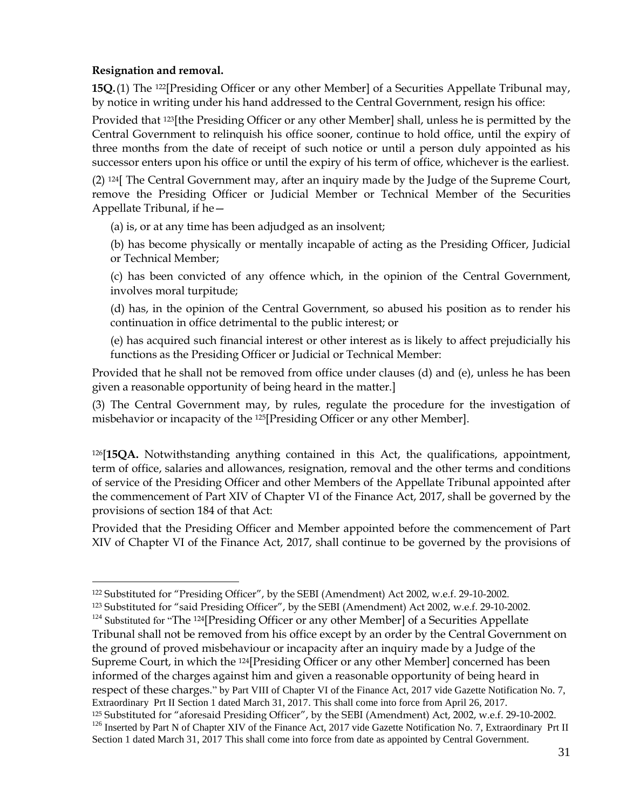# **Resignation and removal.**

 $\overline{a}$ 

**15Q.**(1) The 122[Presiding Officer or any other Member] of a Securities Appellate Tribunal may, by notice in writing under his hand addressed to the Central Government, resign his office:

Provided that 123[the Presiding Officer or any other Member] shall, unless he is permitted by the Central Government to relinquish his office sooner, continue to hold office, until the expiry of three months from the date of receipt of such notice or until a person duly appointed as his successor enters upon his office or until the expiry of his term of office, whichever is the earliest.

(2) 124[ The Central Government may, after an inquiry made by the Judge of the Supreme Court, remove the Presiding Officer or Judicial Member or Technical Member of the Securities Appellate Tribunal, if he—

(a) is, or at any time has been adjudged as an insolvent;

(b) has become physically or mentally incapable of acting as the Presiding Officer, Judicial or Technical Member;

(c) has been convicted of any offence which, in the opinion of the Central Government, involves moral turpitude;

(d) has, in the opinion of the Central Government, so abused his position as to render his continuation in office detrimental to the public interest; or

(e) has acquired such financial interest or other interest as is likely to affect prejudicially his functions as the Presiding Officer or Judicial or Technical Member:

Provided that he shall not be removed from office under clauses (d) and (e), unless he has been given a reasonable opportunity of being heard in the matter.]

(3) The Central Government may, by rules, regulate the procedure for the investigation of misbehavior or incapacity of the 125[Presiding Officer or any other Member].

<sup>126</sup>[**15QA.** Notwithstanding anything contained in this Act, the qualifications, appointment, term of office, salaries and allowances, resignation, removal and the other terms and conditions of service of the Presiding Officer and other Members of the Appellate Tribunal appointed after the commencement of Part XIV of Chapter VI of the Finance Act, 2017, shall be governed by the provisions of section 184 of that Act:

Provided that the Presiding Officer and Member appointed before the commencement of Part XIV of Chapter VI of the Finance Act, 2017, shall continue to be governed by the provisions of

<sup>122</sup> Substituted for "Presiding Officer", by the SEBI (Amendment) Act 2002, w.e.f. 29-10-2002.

<sup>123</sup> Substituted for "said Presiding Officer", by the SEBI (Amendment) Act 2002, w.e.f. 29-10-2002.

 $124$  Substituted for "The  $124$ [Presiding Officer or any other Member] of a Securities Appellate Tribunal shall not be removed from his office except by an order by the Central Government on the ground of proved misbehaviour or incapacity after an inquiry made by a Judge of the Supreme Court, in which the 124[Presiding Officer or any other Member] concerned has been informed of the charges against him and given a reasonable opportunity of being heard in respect of these charges." by Part VIII of Chapter VI of the Finance Act, 2017 vide Gazette Notification No. 7, Extraordinary Prt II Section 1 dated March 31, 2017. This shall come into force from April 26, 2017. <sup>125</sup> Substituted for "aforesaid Presiding Officer", by the SEBI (Amendment) Act, 2002, w.e.f. 29-10-2002. <sup>126</sup> Inserted by Part N of Chapter XIV of the Finance Act, 2017 vide Gazette Notification No. 7, Extraordinary Prt II Section 1 dated March 31, 2017 This shall come into force from date as appointed by Central Government.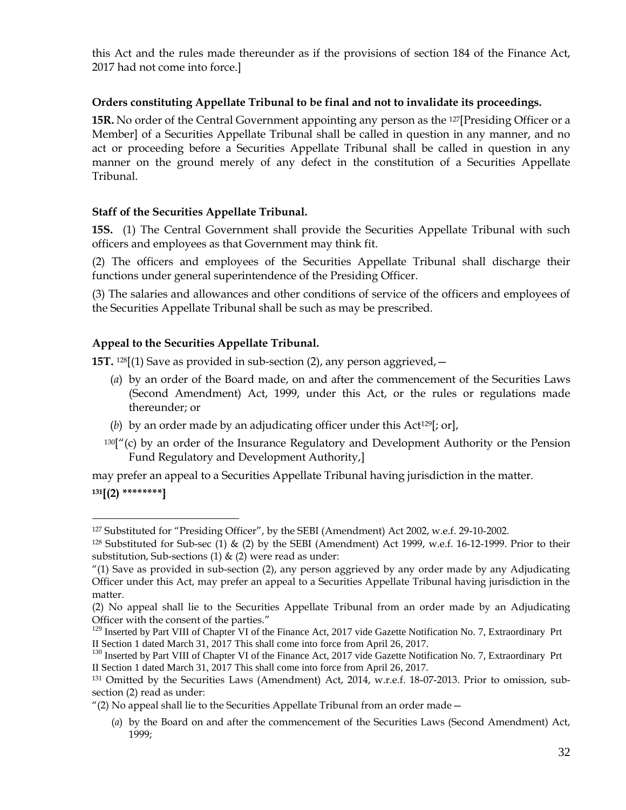this Act and the rules made thereunder as if the provisions of section 184 of the Finance Act, 2017 had not come into force.]

## **Orders constituting Appellate Tribunal to be final and not to invalidate its proceedings.**

**15R.** No order of the Central Government appointing any person as the 127[Presiding Officer or a Member] of a Securities Appellate Tribunal shall be called in question in any manner, and no act or proceeding before a Securities Appellate Tribunal shall be called in question in any manner on the ground merely of any defect in the constitution of a Securities Appellate Tribunal.

## **Staff of the Securities Appellate Tribunal.**

**15S.** (1) The Central Government shall provide the Securities Appellate Tribunal with such officers and employees as that Government may think fit.

(2) The officers and employees of the Securities Appellate Tribunal shall discharge their functions under general superintendence of the Presiding Officer.

(3) The salaries and allowances and other conditions of service of the officers and employees of the Securities Appellate Tribunal shall be such as may be prescribed.

## **Appeal to the Securities Appellate Tribunal.**

 $\overline{a}$ 

**15T.** 128[(1) Save as provided in sub-section (2), any person aggrieved,  $-$ 

- (*a*) by an order of the Board made, on and after the commencement of the Securities Laws (Second Amendment) Act, 1999, under this Act, or the rules or regulations made thereunder; or
- (*b*) by an order made by an adjudicating officer under this Act129[; or],
- $130$ <sup>"</sup>(c) by an order of the Insurance Regulatory and Development Authority or the Pension Fund Regulatory and Development Authority,]

may prefer an appeal to a Securities Appellate Tribunal having jurisdiction in the matter. **<sup>131</sup>[(2) \*\*\*\*\*\*\*\*]**

<sup>127</sup> Substituted for "Presiding Officer", by the SEBI (Amendment) Act 2002, w.e.f. 29-10-2002.

 $128$  Substituted for Sub-sec (1) & (2) by the SEBI (Amendment) Act 1999, w.e.f. 16-12-1999. Prior to their substitution, Sub-sections (1)  $\&$  (2) were read as under:

<sup>&</sup>quot;(1) Save as provided in sub-section (2), any person aggrieved by any order made by any Adjudicating Officer under this Act, may prefer an appeal to a Securities Appellate Tribunal having jurisdiction in the matter.

<sup>(2)</sup> No appeal shall lie to the Securities Appellate Tribunal from an order made by an Adjudicating Officer with the consent of the parties."

<sup>&</sup>lt;sup>129</sup> Inserted by Part VIII of Chapter VI of the Finance Act, 2017 vide Gazette Notification No. 7, Extraordinary Prt II Section 1 dated March 31, 2017 This shall come into force from April 26, 2017.

<sup>&</sup>lt;sup>130</sup> Inserted by Part VIII of Chapter VI of the Finance Act, 2017 vide Gazette Notification No. 7, Extraordinary Prt II Section 1 dated March 31, 2017 This shall come into force from April 26, 2017.

<sup>131</sup> Omitted by the Securities Laws (Amendment) Act, 2014, w.r.e.f. 18-07-2013. Prior to omission, subsection (2) read as under:

<sup>&</sup>quot;(2) No appeal shall lie to the Securities Appellate Tribunal from an order made  $-$ 

<sup>(</sup>*a*) by the Board on and after the commencement of the Securities Laws (Second Amendment) Act, 1999;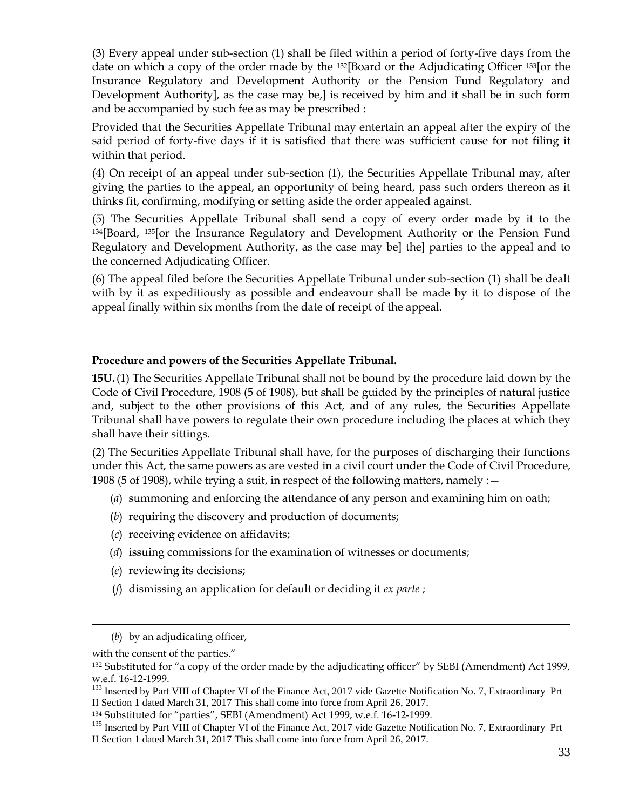(3) Every appeal under sub-section (1) shall be filed within a period of forty-five days from the date on which a copy of the order made by the 132[Board or the Adjudicating Officer 133[or the Insurance Regulatory and Development Authority or the Pension Fund Regulatory and Development Authority], as the case may be,] is received by him and it shall be in such form and be accompanied by such fee as may be prescribed :

Provided that the Securities Appellate Tribunal may entertain an appeal after the expiry of the said period of forty-five days if it is satisfied that there was sufficient cause for not filing it within that period.

(4) On receipt of an appeal under sub-section (1), the Securities Appellate Tribunal may, after giving the parties to the appeal, an opportunity of being heard, pass such orders thereon as it thinks fit, confirming, modifying or setting aside the order appealed against.

(5) The Securities Appellate Tribunal shall send a copy of every order made by it to the <sup>134</sup>[Board, 135[or the Insurance Regulatory and Development Authority or the Pension Fund Regulatory and Development Authority, as the case may be] the] parties to the appeal and to the concerned Adjudicating Officer.

(6) The appeal filed before the Securities Appellate Tribunal under sub-section (1) shall be dealt with by it as expeditiously as possible and endeavour shall be made by it to dispose of the appeal finally within six months from the date of receipt of the appeal.

## **Procedure and powers of the Securities Appellate Tribunal.**

**15U.**(1) The Securities Appellate Tribunal shall not be bound by the procedure laid down by the Code of Civil Procedure, 1908 (5 of 1908), but shall be guided by the principles of natural justice and, subject to the other provisions of this Act, and of any rules, the Securities Appellate Tribunal shall have powers to regulate their own procedure including the places at which they shall have their sittings.

(2) The Securities Appellate Tribunal shall have, for the purposes of discharging their functions under this Act, the same powers as are vested in a civil court under the Code of Civil Procedure, 1908 (5 of 1908), while trying a suit, in respect of the following matters, namely :—

- (*a*) summoning and enforcing the attendance of any person and examining him on oath;
- (*b*) requiring the discovery and production of documents;
- (*c*) receiving evidence on affidavits;
- (*d*) issuing commissions for the examination of witnesses or documents;
- (*e*) reviewing its decisions;
- (*f*) dismissing an application for default or deciding it *ex parte* ;

<sup>(</sup>*b*) by an adjudicating officer,

with the consent of the parties."

<sup>&</sup>lt;sup>132</sup> Substituted for "a copy of the order made by the adjudicating officer" by SEBI (Amendment) Act 1999, w.e.f. 16-12-1999.

<sup>&</sup>lt;sup>133</sup> Inserted by Part VIII of Chapter VI of the Finance Act, 2017 vide Gazette Notification No. 7, Extraordinary Prt II Section 1 dated March 31, 2017 This shall come into force from April 26, 2017.

<sup>134</sup> Substituted for "parties", SEBI (Amendment) Act 1999, w.e.f. 16-12-1999.

<sup>&</sup>lt;sup>135</sup> Inserted by Part VIII of Chapter VI of the Finance Act, 2017 vide Gazette Notification No. 7, Extraordinary Prt II Section 1 dated March 31, 2017 This shall come into force from April 26, 2017.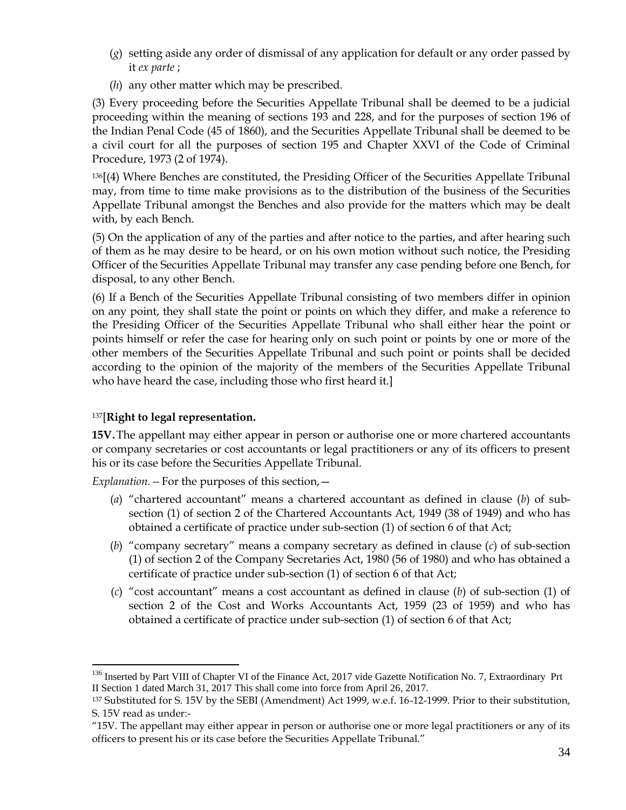- (*g*) setting aside any order of dismissal of any application for default or any order passed by it *ex parte* ;
- (*h*) any other matter which may be prescribed.

(3) Every proceeding before the Securities Appellate Tribunal shall be deemed to be a judicial proceeding within the meaning of sections 193 and 228, and for the purposes of section 196 of the Indian Penal Code (45 of 1860), and the Securities Appellate Tribunal shall be deemed to be a civil court for all the purposes of section 195 and Chapter XXVI of the Code of Criminal Procedure, 1973 (2 of 1974).

<sup>136</sup>[(4) Where Benches are constituted, the Presiding Officer of the Securities Appellate Tribunal may, from time to time make provisions as to the distribution of the business of the Securities Appellate Tribunal amongst the Benches and also provide for the matters which may be dealt with, by each Bench.

(5) On the application of any of the parties and after notice to the parties, and after hearing such of them as he may desire to be heard, or on his own motion without such notice, the Presiding Officer of the Securities Appellate Tribunal may transfer any case pending before one Bench, for disposal, to any other Bench.

(6) If a Bench of the Securities Appellate Tribunal consisting of two members differ in opinion on any point, they shall state the point or points on which they differ, and make a reference to the Presiding Officer of the Securities Appellate Tribunal who shall either hear the point or points himself or refer the case for hearing only on such point or points by one or more of the other members of the Securities Appellate Tribunal and such point or points shall be decided according to the opinion of the majority of the members of the Securities Appellate Tribunal who have heard the case, including those who first heard it.]

# <sup>137</sup>[**Right to legal representation.**

**15V.**The appellant may either appear in person or authorise one or more chartered accountants or company secretaries or cost accountants or legal practitioners or any of its officers to present his or its case before the Securities Appellate Tribunal.

*Explanation.—*For the purposes of this section,—

- (*a*) "chartered accountant" means a chartered accountant as defined in clause (*b*) of subsection (1) of section 2 of the Chartered Accountants Act, 1949 (38 of 1949) and who has obtained a certificate of practice under sub-section (1) of section 6 of that Act;
- (*b*) "company secretary" means a company secretary as defined in clause (*c*) of sub-section (1) of section 2 of the Company Secretaries Act, 1980 (56 of 1980) and who has obtained a certificate of practice under sub-section (1) of section 6 of that Act;
- (*c*) "cost accountant" means a cost accountant as defined in clause (*b*) of sub-section (1) of section 2 of the Cost and Works Accountants Act, 1959 (23 of 1959) and who has obtained a certificate of practice under sub-section (1) of section 6 of that Act;

 $\overline{a}$ <sup>136</sup> Inserted by Part VIII of Chapter VI of the Finance Act, 2017 vide Gazette Notification No. 7, Extraordinary Prt II Section 1 dated March 31, 2017 This shall come into force from April 26, 2017.

<sup>137</sup> Substituted for S. 15V by the SEBI (Amendment) Act 1999, w.e.f. 16-12-1999. Prior to their substitution, S. 15V read as under:-

<sup>&</sup>quot;15V. The appellant may either appear in person or authorise one or more legal practitioners or any of its officers to present his or its case before the Securities Appellate Tribunal."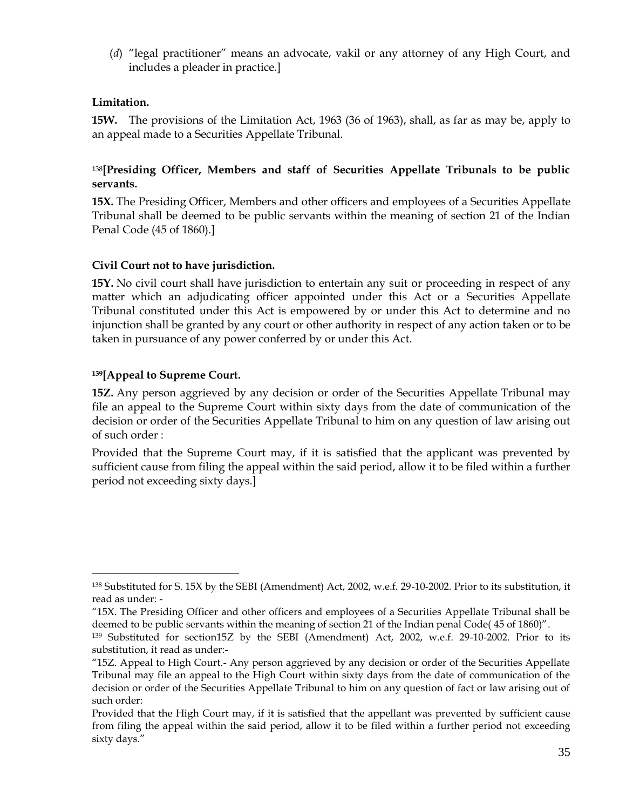(*d*) "legal practitioner" means an advocate, vakil or any attorney of any High Court, and includes a pleader in practice.]

## **Limitation.**

**15W.** The provisions of the Limitation Act, 1963 (36 of 1963), shall, as far as may be, apply to an appeal made to a Securities Appellate Tribunal.

# <sup>138</sup>**[Presiding Officer, Members and staff of Securities Appellate Tribunals to be public servants.**

**15X.** The Presiding Officer, Members and other officers and employees of a Securities Appellate Tribunal shall be deemed to be public servants within the meaning of section 21 of the Indian Penal Code (45 of 1860).]

# **Civil Court not to have jurisdiction.**

**15Y.** No civil court shall have jurisdiction to entertain any suit or proceeding in respect of any matter which an adjudicating officer appointed under this Act or a Securities Appellate Tribunal constituted under this Act is empowered by or under this Act to determine and no injunction shall be granted by any court or other authority in respect of any action taken or to be taken in pursuance of any power conferred by or under this Act.

## **<sup>139</sup>[Appeal to Supreme Court.**

 $\overline{a}$ 

**15Z.** Any person aggrieved by any decision or order of the Securities Appellate Tribunal may file an appeal to the Supreme Court within sixty days from the date of communication of the decision or order of the Securities Appellate Tribunal to him on any question of law arising out of such order :

Provided that the Supreme Court may, if it is satisfied that the applicant was prevented by sufficient cause from filing the appeal within the said period, allow it to be filed within a further period not exceeding sixty days.]

<sup>138</sup> Substituted for S. 15X by the SEBI (Amendment) Act, 2002, w.e.f. 29-10-2002. Prior to its substitution, it read as under: -

<sup>&</sup>quot;15X. The Presiding Officer and other officers and employees of a Securities Appellate Tribunal shall be deemed to be public servants within the meaning of section 21 of the Indian penal Code( 45 of 1860)".

<sup>139</sup> Substituted for section15Z by the SEBI (Amendment) Act, 2002, w.e.f. 29-10-2002. Prior to its substitution, it read as under:-

<sup>&</sup>quot;15Z. Appeal to High Court.- Any person aggrieved by any decision or order of the Securities Appellate Tribunal may file an appeal to the High Court within sixty days from the date of communication of the decision or order of the Securities Appellate Tribunal to him on any question of fact or law arising out of such order:

Provided that the High Court may, if it is satisfied that the appellant was prevented by sufficient cause from filing the appeal within the said period, allow it to be filed within a further period not exceeding sixty days."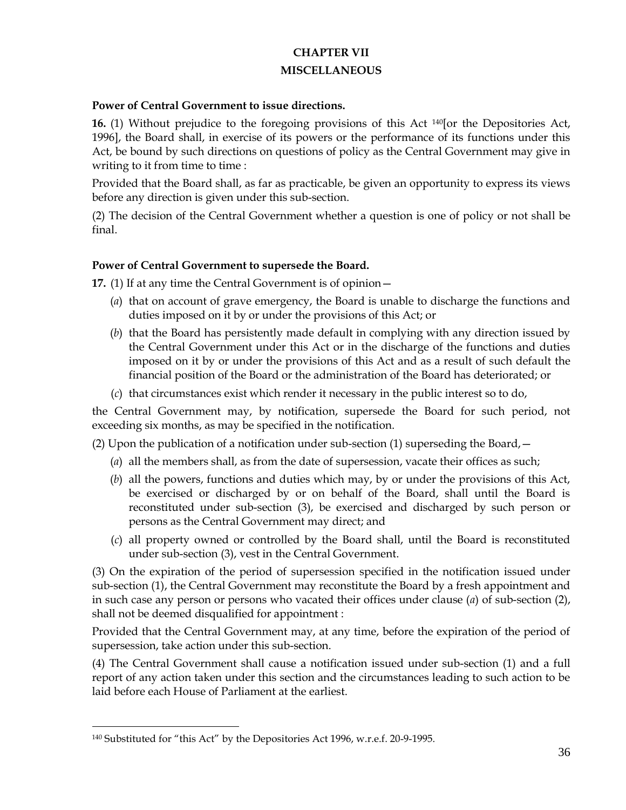# **CHAPTER VII MISCELLANEOUS**

#### **Power of Central Government to issue directions.**

**16.** (1) Without prejudice to the foregoing provisions of this Act 140[or the Depositories Act, 1996], the Board shall, in exercise of its powers or the performance of its functions under this Act, be bound by such directions on questions of policy as the Central Government may give in writing to it from time to time :

Provided that the Board shall, as far as practicable, be given an opportunity to express its views before any direction is given under this sub-section.

(2) The decision of the Central Government whether a question is one of policy or not shall be final.

### **Power of Central Government to supersede the Board.**

**17.** (1) If at any time the Central Government is of opinion—

- (*a*) that on account of grave emergency, the Board is unable to discharge the functions and duties imposed on it by or under the provisions of this Act; or
- (*b*) that the Board has persistently made default in complying with any direction issued by the Central Government under this Act or in the discharge of the functions and duties imposed on it by or under the provisions of this Act and as a result of such default the financial position of the Board or the administration of the Board has deteriorated; or
- (*c*) that circumstances exist which render it necessary in the public interest so to do,

the Central Government may, by notification, supersede the Board for such period, not exceeding six months, as may be specified in the notification.

(2) Upon the publication of a notification under sub-section (1) superseding the Board,  $-$ 

- (*a*) all the members shall, as from the date of supersession, vacate their offices as such;
- (*b*) all the powers, functions and duties which may, by or under the provisions of this Act, be exercised or discharged by or on behalf of the Board, shall until the Board is reconstituted under sub-section (3), be exercised and discharged by such person or persons as the Central Government may direct; and
- (*c*) all property owned or controlled by the Board shall, until the Board is reconstituted under sub-section (3), vest in the Central Government.

(3) On the expiration of the period of supersession specified in the notification issued under sub-section (1), the Central Government may reconstitute the Board by a fresh appointment and in such case any person or persons who vacated their offices under clause (*a*) of sub-section (2), shall not be deemed disqualified for appointment :

Provided that the Central Government may, at any time, before the expiration of the period of supersession, take action under this sub-section.

(4) The Central Government shall cause a notification issued under sub-section (1) and a full report of any action taken under this section and the circumstances leading to such action to be laid before each House of Parliament at the earliest.

<sup>140</sup> Substituted for "this Act" by the Depositories Act 1996, w.r.e.f. 20-9-1995.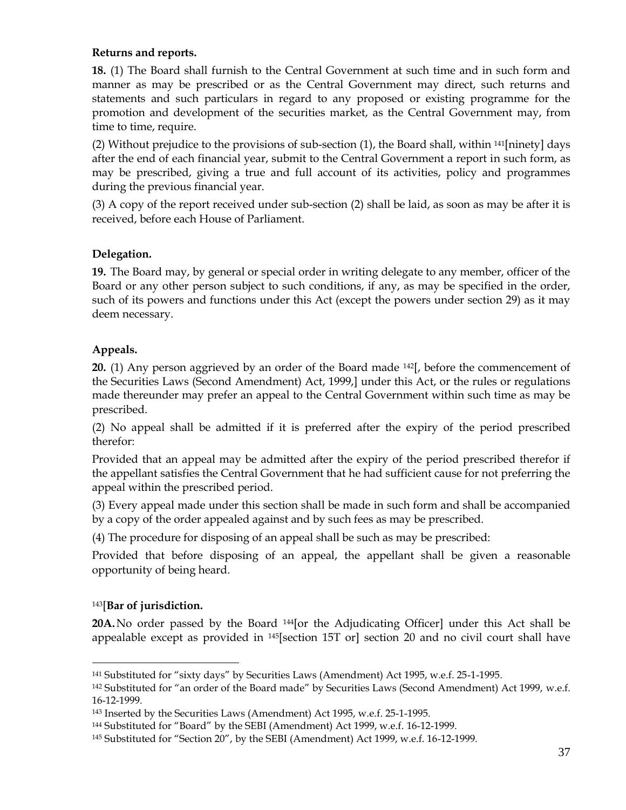## **Returns and reports.**

**18.** (1) The Board shall furnish to the Central Government at such time and in such form and manner as may be prescribed or as the Central Government may direct, such returns and statements and such particulars in regard to any proposed or existing programme for the promotion and development of the securities market, as the Central Government may, from time to time, require.

(2) Without prejudice to the provisions of sub-section  $(1)$ , the Board shall, within  $141$ [ninety] days after the end of each financial year, submit to the Central Government a report in such form, as may be prescribed, giving a true and full account of its activities, policy and programmes during the previous financial year.

(3) A copy of the report received under sub-section (2) shall be laid, as soon as may be after it is received, before each House of Parliament.

# **Delegation.**

**19.** The Board may, by general or special order in writing delegate to any member, officer of the Board or any other person subject to such conditions, if any, as may be specified in the order, such of its powers and functions under this Act (except the powers under section 29) as it may deem necessary.

## **Appeals.**

**20.** (1) Any person aggrieved by an order of the Board made 142[, before the commencement of the Securities Laws (Second Amendment) Act, 1999,] under this Act, or the rules or regulations made thereunder may prefer an appeal to the Central Government within such time as may be prescribed.

(2) No appeal shall be admitted if it is preferred after the expiry of the period prescribed therefor:

Provided that an appeal may be admitted after the expiry of the period prescribed therefor if the appellant satisfies the Central Government that he had sufficient cause for not preferring the appeal within the prescribed period.

(3) Every appeal made under this section shall be made in such form and shall be accompanied by a copy of the order appealed against and by such fees as may be prescribed.

(4) The procedure for disposing of an appeal shall be such as may be prescribed:

Provided that before disposing of an appeal, the appellant shall be given a reasonable opportunity of being heard.

# <sup>143</sup>[**Bar of jurisdiction.**

 $\overline{a}$ 

20A. No order passed by the Board <sup>144</sup>[or the Adjudicating Officer] under this Act shall be appealable except as provided in 145[section 15T or] section 20 and no civil court shall have

<sup>141</sup> Substituted for "sixty days" by Securities Laws (Amendment) Act 1995, w.e.f. 25-1-1995.

<sup>142</sup> Substituted for "an order of the Board made" by Securities Laws (Second Amendment) Act 1999, w.e.f. 16-12-1999.

<sup>143</sup> Inserted by the Securities Laws (Amendment) Act 1995, w.e.f. 25-1-1995.

<sup>144</sup> Substituted for "Board" by the SEBI (Amendment) Act 1999, w.e.f. 16-12-1999.

<sup>145</sup> Substituted for "Section 20", by the SEBI (Amendment) Act 1999, w.e.f. 16-12-1999.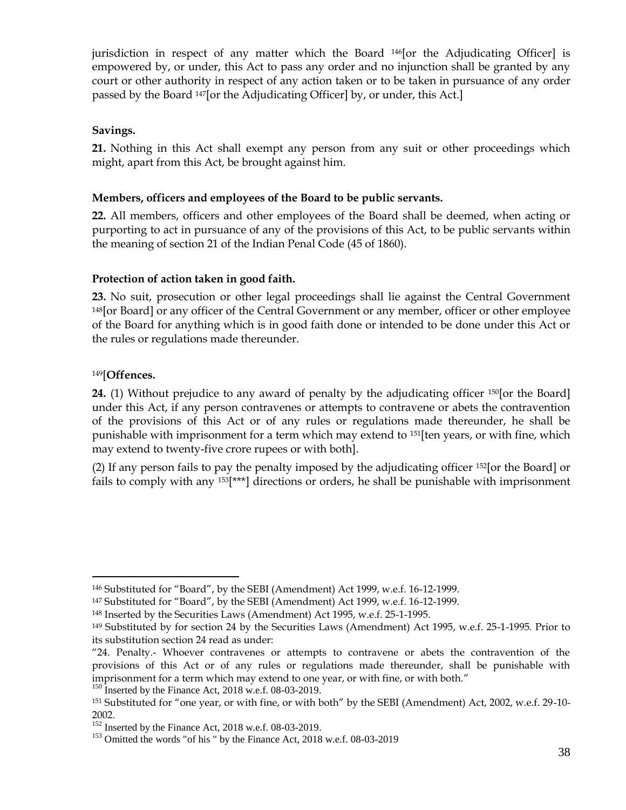jurisdiction in respect of any matter which the Board 146[or the Adjudicating Officer] is empowered by, or under, this Act to pass any order and no injunction shall be granted by any court or other authority in respect of any action taken or to be taken in pursuance of any order passed by the Board 147[or the Adjudicating Officer] by, or under, this Act.]

## **Savings.**

**21.** Nothing in this Act shall exempt any person from any suit or other proceedings which might, apart from this Act, be brought against him.

## **Members, officers and employees of the Board to be public servants.**

**22.** All members, officers and other employees of the Board shall be deemed, when acting or purporting to act in pursuance of any of the provisions of this Act, to be public servants within the meaning of section 21 of the Indian Penal Code (45 of 1860).

## **Protection of action taken in good faith.**

**23.** No suit, prosecution or other legal proceedings shall lie against the Central Government <sup>148</sup>[or Board] or any officer of the Central Government or any member, officer or other employee of the Board for anything which is in good faith done or intended to be done under this Act or the rules or regulations made thereunder.

## <sup>149</sup>[**Offences.**

 $\overline{a}$ 

**24.** (1) Without prejudice to any award of penalty by the adjudicating officer <sup>150</sup>[or the Board] under this Act, if any person contravenes or attempts to contravene or abets the contravention of the provisions of this Act or of any rules or regulations made thereunder, he shall be punishable with imprisonment for a term which may extend to 151[ten years, or with fine, which may extend to twenty-five crore rupees or with both].

(2) If any person fails to pay the penalty imposed by the adjudicating officer <sup>152</sup>[or the Board] or fails to comply with any  $153$ [\*\*\*] directions or orders, he shall be punishable with imprisonment

<sup>146</sup> Substituted for "Board", by the SEBI (Amendment) Act 1999, w.e.f. 16-12-1999.

<sup>147</sup> Substituted for "Board", by the SEBI (Amendment) Act 1999, w.e.f. 16-12-1999.

<sup>148</sup> Inserted by the Securities Laws (Amendment) Act 1995, w.e.f. 25-1-1995.

<sup>149</sup> Substituted by for section 24 by the Securities Laws (Amendment) Act 1995, w.e.f. 25-1-1995*.* Prior to its substitution section 24 read as under:

<sup>&</sup>quot;24. Penalty.- Whoever contravenes or attempts to contravene or abets the contravention of the provisions of this Act or of any rules or regulations made thereunder, shall be punishable with imprisonment for a term which may extend to one year, or with fine, or with both."

<sup>&</sup>lt;sup>150</sup> Inserted by the Finance Act, 2018 w.e.f. 08-03-2019.

<sup>151</sup> Substituted for "one year, or with fine, or with both" by the SEBI (Amendment) Act, 2002, w.e.f. 29-10- 2002.

 $152$  Inserted by the Finance Act, 2018 w.e.f. 08-03-2019.

<sup>&</sup>lt;sup>153</sup> Omitted the words "of his " by the Finance Act, 2018 w.e.f. 08-03-2019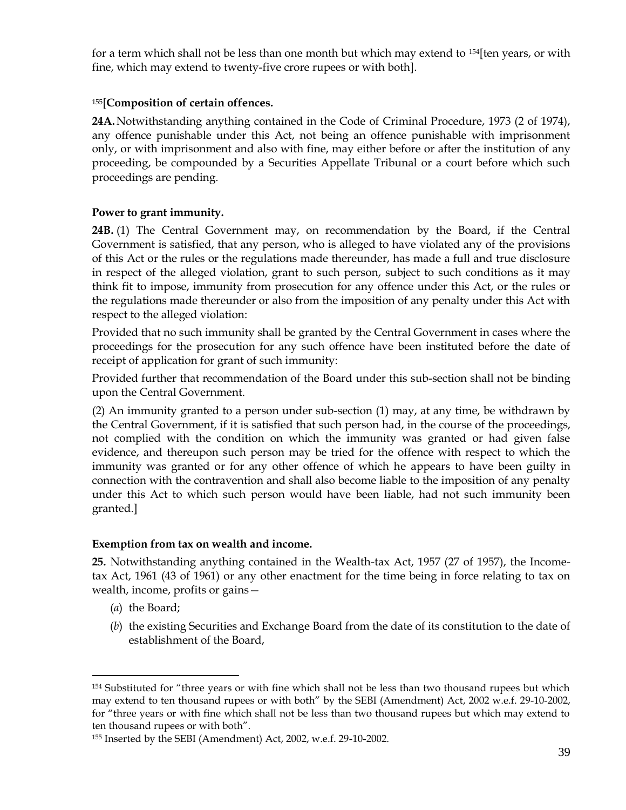for a term which shall not be less than one month but which may extend to <sup>154</sup>[ten years, or with fine, which may extend to twenty-five crore rupees or with both].

## <sup>155</sup>[**Composition of certain offences.**

**24A.** Notwithstanding anything contained in the Code of Criminal Procedure, 1973 (2 of 1974), any offence punishable under this Act, not being an offence punishable with imprisonment only, or with imprisonment and also with fine, may either before or after the institution of any proceeding, be compounded by a Securities Appellate Tribunal or a court before which such proceedings are pending.

## **Power to grant immunity.**

**24B.** (1) The Central Government may, on recommendation by the Board, if the Central Government is satisfied, that any person, who is alleged to have violated any of the provisions of this Act or the rules or the regulations made thereunder, has made a full and true disclosure in respect of the alleged violation, grant to such person, subject to such conditions as it may think fit to impose, immunity from prosecution for any offence under this Act, or the rules or the regulations made thereunder or also from the imposition of any penalty under this Act with respect to the alleged violation:

Provided that no such immunity shall be granted by the Central Government in cases where the proceedings for the prosecution for any such offence have been instituted before the date of receipt of application for grant of such immunity:

Provided further that recommendation of the Board under this sub-section shall not be binding upon the Central Government.

(2) An immunity granted to a person under sub-section (1) may, at any time, be withdrawn by the Central Government, if it is satisfied that such person had, in the course of the proceedings, not complied with the condition on which the immunity was granted or had given false evidence, and thereupon such person may be tried for the offence with respect to which the immunity was granted or for any other offence of which he appears to have been guilty in connection with the contravention and shall also become liable to the imposition of any penalty under this Act to which such person would have been liable, had not such immunity been granted.]

## **Exemption from tax on wealth and income.**

**25.** Notwithstanding anything contained in the Wealth-tax Act, 1957 (27 of 1957), the Incometax Act, 1961 (43 of 1961) or any other enactment for the time being in force relating to tax on wealth, income, profits or gains—

(*a*) the Board;

 $\overline{a}$ 

(*b*) the existing Securities and Exchange Board from the date of its constitution to the date of establishment of the Board,

<sup>154</sup> Substituted for "three years or with fine which shall not be less than two thousand rupees but which may extend to ten thousand rupees or with both" by the SEBI (Amendment) Act, 2002 w.e.f. 29-10-2002, for "three years or with fine which shall not be less than two thousand rupees but which may extend to ten thousand rupees or with both".

<sup>155</sup> Inserted by the SEBI (Amendment) Act, 2002, w.e.f. 29-10-2002.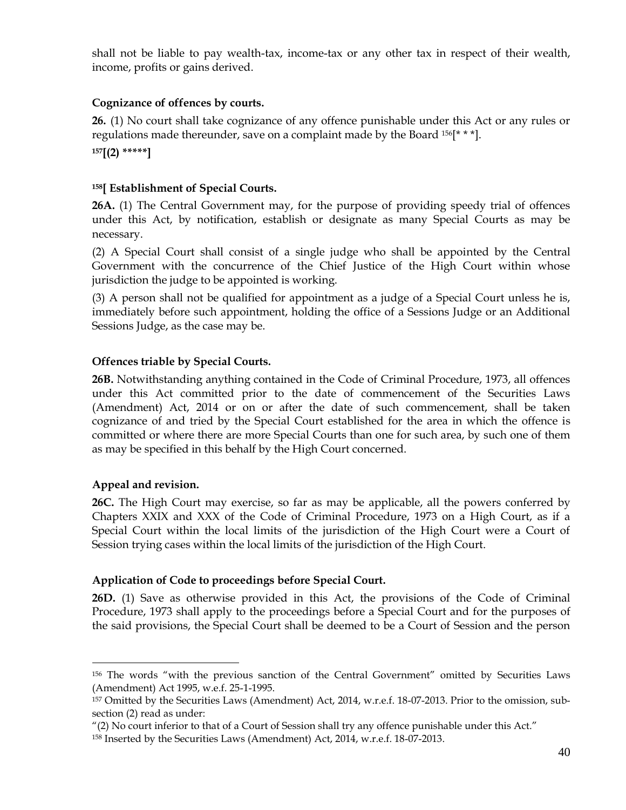shall not be liable to pay wealth-tax, income-tax or any other tax in respect of their wealth, income, profits or gains derived.

# **Cognizance of offences by courts.**

**26.** (1) No court shall take cognizance of any offence punishable under this Act or any rules or regulations made thereunder, save on a complaint made by the Board  $156$ [\* \* \*]. **<sup>157</sup>[(2) \*\*\*\*\*]**

# **<sup>158</sup>[ Establishment of Special Courts.**

**26A.** (1) The Central Government may, for the purpose of providing speedy trial of offences under this Act, by notification, establish or designate as many Special Courts as may be necessary.

(2) A Special Court shall consist of a single judge who shall be appointed by the Central Government with the concurrence of the Chief Justice of the High Court within whose jurisdiction the judge to be appointed is working.

(3) A person shall not be qualified for appointment as a judge of a Special Court unless he is, immediately before such appointment, holding the office of a Sessions Judge or an Additional Sessions Judge, as the case may be.

# **Offences triable by Special Courts.**

**26B.** Notwithstanding anything contained in the Code of Criminal Procedure, 1973, all offences under this Act committed prior to the date of commencement of the Securities Laws (Amendment) Act, 2014 or on or after the date of such commencement, shall be taken cognizance of and tried by the Special Court established for the area in which the offence is committed or where there are more Special Courts than one for such area, by such one of them as may be specified in this behalf by the High Court concerned.

# **Appeal and revision.**

 $\overline{a}$ 

**26C.** The High Court may exercise, so far as may be applicable, all the powers conferred by Chapters XXIX and XXX of the Code of Criminal Procedure, 1973 on a High Court, as if a Special Court within the local limits of the jurisdiction of the High Court were a Court of Session trying cases within the local limits of the jurisdiction of the High Court.

# **Application of Code to proceedings before Special Court.**

**26D.** (1) Save as otherwise provided in this Act, the provisions of the Code of Criminal Procedure, 1973 shall apply to the proceedings before a Special Court and for the purposes of the said provisions, the Special Court shall be deemed to be a Court of Session and the person

<sup>156</sup> The words "with the previous sanction of the Central Government" omitted by Securities Laws (Amendment) Act 1995, w.e.f. 25-1-1995.

<sup>157</sup> Omitted by the Securities Laws (Amendment) Act, 2014, w.r.e.f. 18-07-2013. Prior to the omission, subsection (2) read as under:

<sup>&</sup>quot;(2) No court inferior to that of a Court of Session shall try any offence punishable under this Act."

<sup>158</sup> Inserted by the Securities Laws (Amendment) Act, 2014, w.r.e.f. 18-07-2013.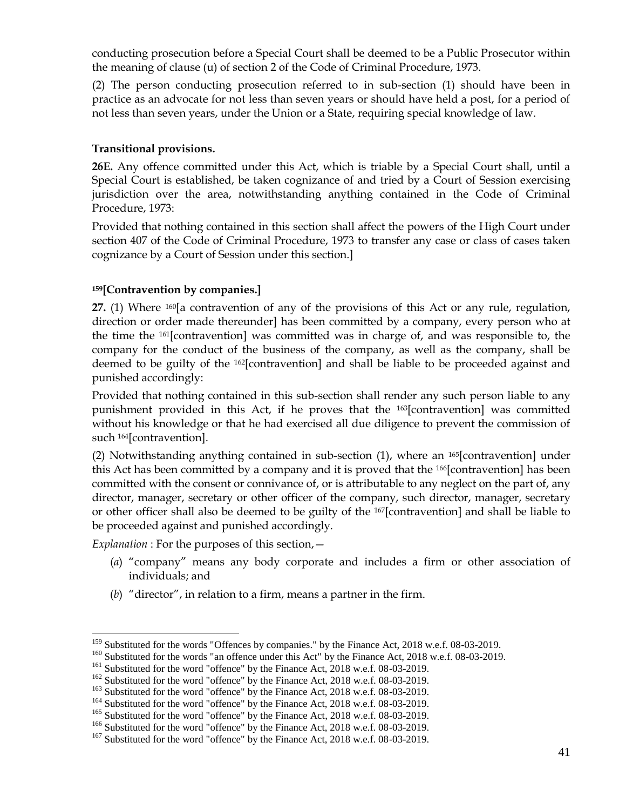conducting prosecution before a Special Court shall be deemed to be a Public Prosecutor within the meaning of clause (u) of section 2 of the Code of Criminal Procedure, 1973.

(2) The person conducting prosecution referred to in sub-section (1) should have been in practice as an advocate for not less than seven years or should have held a post, for a period of not less than seven years, under the Union or a State, requiring special knowledge of law.

## **Transitional provisions.**

**26E.** Any offence committed under this Act, which is triable by a Special Court shall, until a Special Court is established, be taken cognizance of and tried by a Court of Session exercising jurisdiction over the area, notwithstanding anything contained in the Code of Criminal Procedure, 1973:

Provided that nothing contained in this section shall affect the powers of the High Court under section 407 of the Code of Criminal Procedure, 1973 to transfer any case or class of cases taken cognizance by a Court of Session under this section.]

## **<sup>159</sup>[Contravention by companies.]**

**27.** (1) Where 160[a contravention of any of the provisions of this Act or any rule, regulation, direction or order made thereunder] has been committed by a company, every person who at the time the 161[contravention] was committed was in charge of, and was responsible to, the company for the conduct of the business of the company, as well as the company, shall be deemed to be guilty of the 162[contravention] and shall be liable to be proceeded against and punished accordingly:

Provided that nothing contained in this sub-section shall render any such person liable to any punishment provided in this Act, if he proves that the 163[contravention] was committed without his knowledge or that he had exercised all due diligence to prevent the commission of such 164[contravention].

(2) Notwithstanding anything contained in sub-section (1), where an 165[contravention] under this Act has been committed by a company and it is proved that the <sup>166</sup>[contravention] has been committed with the consent or connivance of, or is attributable to any neglect on the part of, any director, manager, secretary or other officer of the company, such director, manager, secretary or other officer shall also be deemed to be guilty of the 167[contravention] and shall be liable to be proceeded against and punished accordingly.

*Explanation* : For the purposes of this section,—

- (*a*) "company" means any body corporate and includes a firm or other association of individuals; and
- (*b*) "director", in relation to a firm, means a partner in the firm.

<sup>&</sup>lt;sup>159</sup> Substituted for the words "Offences by companies." by the Finance Act, 2018 w.e.f. 08-03-2019.

<sup>&</sup>lt;sup>160</sup> Substituted for the words "an offence under this Act" by the Finance Act, 2018 w.e.f. 08-03-2019.

<sup>&</sup>lt;sup>161</sup> Substituted for the word "offence" by the Finance Act, 2018 w.e.f. 08-03-2019.

<sup>&</sup>lt;sup>162</sup> Substituted for the word "offence" by the Finance Act, 2018 w.e.f. 08-03-2019.

<sup>&</sup>lt;sup>163</sup> Substituted for the word "offence" by the Finance Act, 2018 w.e.f. 08-03-2019.

<sup>&</sup>lt;sup>164</sup> Substituted for the word "offence" by the Finance Act, 2018 w.e.f. 08-03-2019.

<sup>&</sup>lt;sup>165</sup> Substituted for the word "offence" by the Finance Act, 2018 w.e.f. 08-03-2019.

<sup>&</sup>lt;sup>166</sup> Substituted for the word "offence" by the Finance Act, 2018 w.e.f. 08-03-2019.

<sup>&</sup>lt;sup>167</sup> Substituted for the word "offence" by the Finance Act, 2018 w.e.f. 08-03-2019.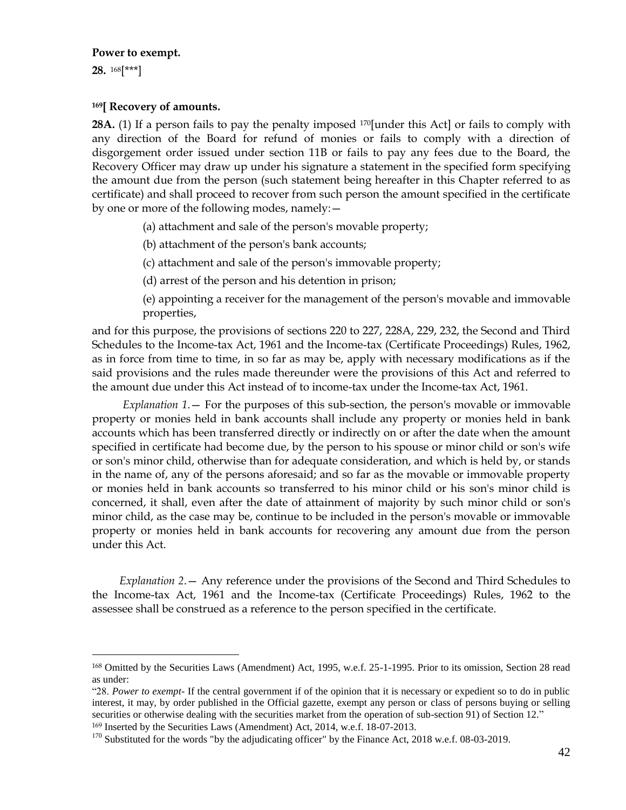#### **Power to exempt.**

**28.** <sup>168</sup>[\*\*\*]

 $\overline{a}$ 

### **<sup>169</sup>[ Recovery of amounts.**

28A. (1) If a person fails to pay the penalty imposed <sup>170</sup>[under this Act] or fails to comply with any direction of the Board for refund of monies or fails to comply with a direction of disgorgement order issued under section 11B or fails to pay any fees due to the Board, the Recovery Officer may draw up under his signature a statement in the specified form specifying the amount due from the person (such statement being hereafter in this Chapter referred to as certificate) and shall proceed to recover from such person the amount specified in the certificate by one or more of the following modes, namely:—

(a) attachment and sale of the person's movable property;

(b) attachment of the person's bank accounts;

(c) attachment and sale of the person's immovable property;

(d) arrest of the person and his detention in prison;

(e) appointing a receiver for the management of the person's movable and immovable properties,

and for this purpose, the provisions of sections 220 to 227, 228A, 229, 232, the Second and Third Schedules to the Income-tax Act, 1961 and the Income-tax (Certificate Proceedings) Rules, 1962, as in force from time to time, in so far as may be, apply with necessary modifications as if the said provisions and the rules made thereunder were the provisions of this Act and referred to the amount due under this Act instead of to income-tax under the Income-tax Act, 1961.

*Explanation 1*.— For the purposes of this sub-section, the person's movable or immovable property or monies held in bank accounts shall include any property or monies held in bank accounts which has been transferred directly or indirectly on or after the date when the amount specified in certificate had become due, by the person to his spouse or minor child or son's wife or son's minor child, otherwise than for adequate consideration, and which is held by, or stands in the name of, any of the persons aforesaid; and so far as the movable or immovable property or monies held in bank accounts so transferred to his minor child or his son's minor child is concerned, it shall, even after the date of attainment of majority by such minor child or son's minor child, as the case may be, continue to be included in the person's movable or immovable property or monies held in bank accounts for recovering any amount due from the person under this Act.

*Explanation 2*.— Any reference under the provisions of the Second and Third Schedules to the Income-tax Act, 1961 and the Income-tax (Certificate Proceedings) Rules, 1962 to the assessee shall be construed as a reference to the person specified in the certificate.

<sup>169</sup> Inserted by the Securities Laws (Amendment) Act, 2014, w.e.f. 18-07-2013.

<sup>168</sup> Omitted by the Securities Laws (Amendment) Act, 1995, w.e.f. 25-1-1995. Prior to its omission, Section 28 read as under:

<sup>&</sup>quot;28. *Power to exempt*- If the central government if of the opinion that it is necessary or expedient so to do in public interest, it may, by order published in the Official gazette, exempt any person or class of persons buying or selling securities or otherwise dealing with the securities market from the operation of sub-section 91) of Section 12."

<sup>&</sup>lt;sup>170</sup> Substituted for the words "by the adjudicating officer" by the Finance Act, 2018 w.e.f. 08-03-2019.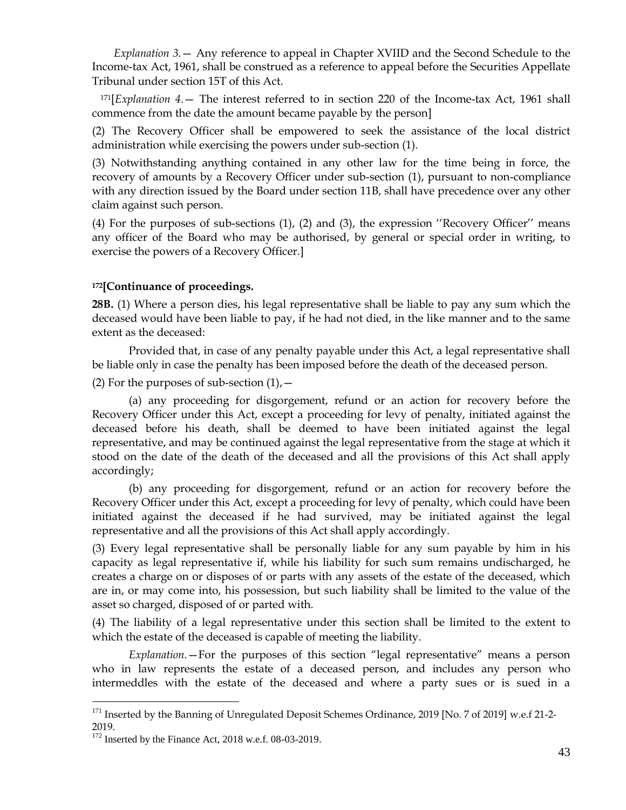*Explanation 3.*— Any reference to appeal in Chapter XVIID and the Second Schedule to the Income-tax Act, 1961, shall be construed as a reference to appeal before the Securities Appellate Tribunal under section 15T of this Act.

<sup>171</sup>[*Explanation 4*.— The interest referred to in section 220 of the Income-tax Act, 1961 shall commence from the date the amount became payable by the person]

(2) The Recovery Officer shall be empowered to seek the assistance of the local district administration while exercising the powers under sub-section (1).

(3) Notwithstanding anything contained in any other law for the time being in force, the recovery of amounts by a Recovery Officer under sub-section (1), pursuant to non-compliance with any direction issued by the Board under section 11B, shall have precedence over any other claim against such person.

(4) For the purposes of sub-sections (1), (2) and (3), the expression ''Recovery Officer'' means any officer of the Board who may be authorised, by general or special order in writing, to exercise the powers of a Recovery Officer.]

## **<sup>172</sup>[Continuance of proceedings.**

**28B.** (1) Where a person dies, his legal representative shall be liable to pay any sum which the deceased would have been liable to pay, if he had not died, in the like manner and to the same extent as the deceased:

Provided that, in case of any penalty payable under this Act, a legal representative shall be liable only in case the penalty has been imposed before the death of the deceased person.

(2) For the purposes of sub-section  $(1)$ ,  $-$ 

(a) any proceeding for disgorgement, refund or an action for recovery before the Recovery Officer under this Act, except a proceeding for levy of penalty, initiated against the deceased before his death, shall be deemed to have been initiated against the legal representative, and may be continued against the legal representative from the stage at which it stood on the date of the death of the deceased and all the provisions of this Act shall apply accordingly;

(b) any proceeding for disgorgement, refund or an action for recovery before the Recovery Officer under this Act, except a proceeding for levy of penalty, which could have been initiated against the deceased if he had survived, may be initiated against the legal representative and all the provisions of this Act shall apply accordingly.

(3) Every legal representative shall be personally liable for any sum payable by him in his capacity as legal representative if, while his liability for such sum remains undischarged, he creates a charge on or disposes of or parts with any assets of the estate of the deceased, which are in, or may come into, his possession, but such liability shall be limited to the value of the asset so charged, disposed of or parted with.

(4) The liability of a legal representative under this section shall be limited to the extent to which the estate of the deceased is capable of meeting the liability.

*Explanation.*—For the purposes of this section "legal representative" means a person who in law represents the estate of a deceased person, and includes any person who intermeddles with the estate of the deceased and where a party sues or is sued in a

<sup>&</sup>lt;sup>171</sup> Inserted by the Banning of Unregulated Deposit Schemes Ordinance, 2019 [No. 7 of 2019] w.e.f 21-2-2019.

<sup>&</sup>lt;sup>172</sup> Inserted by the Finance Act, 2018 w.e.f. 08-03-2019.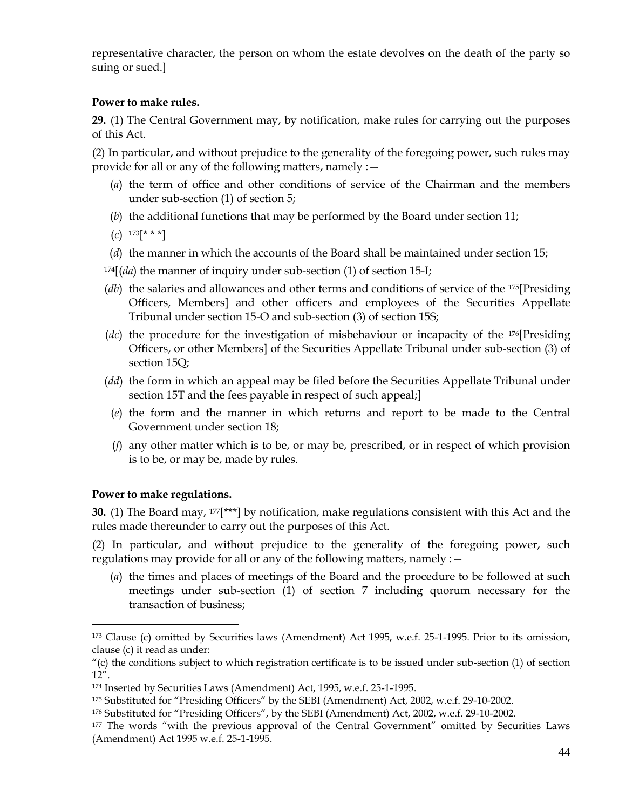representative character, the person on whom the estate devolves on the death of the party so suing or sued.]

## **Power to make rules.**

**29.** (1) The Central Government may, by notification, make rules for carrying out the purposes of this Act.

(2) In particular, and without prejudice to the generality of the foregoing power, such rules may provide for all or any of the following matters, namely :—

- (*a*) the term of office and other conditions of service of the Chairman and the members under sub-section (1) of section 5;
- (*b*) the additional functions that may be performed by the Board under section 11;
- (*c*) <sup>173</sup>[\* \* \*]
- (*d*) the manner in which the accounts of the Board shall be maintained under section 15;
- <sup>174</sup>[(*da*) the manner of inquiry under sub-section (1) of section 15-I;
- (*db*) the salaries and allowances and other terms and conditions of service of the 175[Presiding Officers, Members] and other officers and employees of the Securities Appellate Tribunal under section 15-O and sub-section (3) of section 15S;
- (*dc*) the procedure for the investigation of misbehaviour or incapacity of the 176[Presiding Officers, or other Members] of the Securities Appellate Tribunal under sub-section (3) of section 15Q;
- (*dd*) the form in which an appeal may be filed before the Securities Appellate Tribunal under section 15T and the fees payable in respect of such appeal;]
- (*e*) the form and the manner in which returns and report to be made to the Central Government under section 18;
- (*f*) any other matter which is to be, or may be, prescribed, or in respect of which provision is to be, or may be, made by rules.

## **Power to make regulations.**

 $\overline{a}$ 

**30.** (1) The Board may, 177[\*\*\*] by notification, make regulations consistent with this Act and the rules made thereunder to carry out the purposes of this Act.

(2) In particular, and without prejudice to the generality of the foregoing power, such regulations may provide for all or any of the following matters, namely :—

(*a*) the times and places of meetings of the Board and the procedure to be followed at such meetings under sub-section (1) of section 7 including quorum necessary for the transaction of business;

<sup>173</sup> Clause (c) omitted by Securities laws (Amendment) Act 1995, w.e.f. 25-1-1995. Prior to its omission, clause (c) it read as under:

<sup>&</sup>quot;(c) the conditions subject to which registration certificate is to be issued under sub-section (1) of section 12".

<sup>174</sup> Inserted by Securities Laws (Amendment) Act, 1995, w.e.f. 25-1-1995.

<sup>175</sup> Substituted for "Presiding Officers" by the SEBI (Amendment) Act, 2002, w.e.f. 29-10-2002.

<sup>176</sup> Substituted for "Presiding Officers", by the SEBI (Amendment) Act, 2002, w.e.f. 29-10-2002.

<sup>&</sup>lt;sup>177</sup> The words "with the previous approval of the Central Government" omitted by Securities Laws (Amendment) Act 1995 w.e.f. 25-1-1995.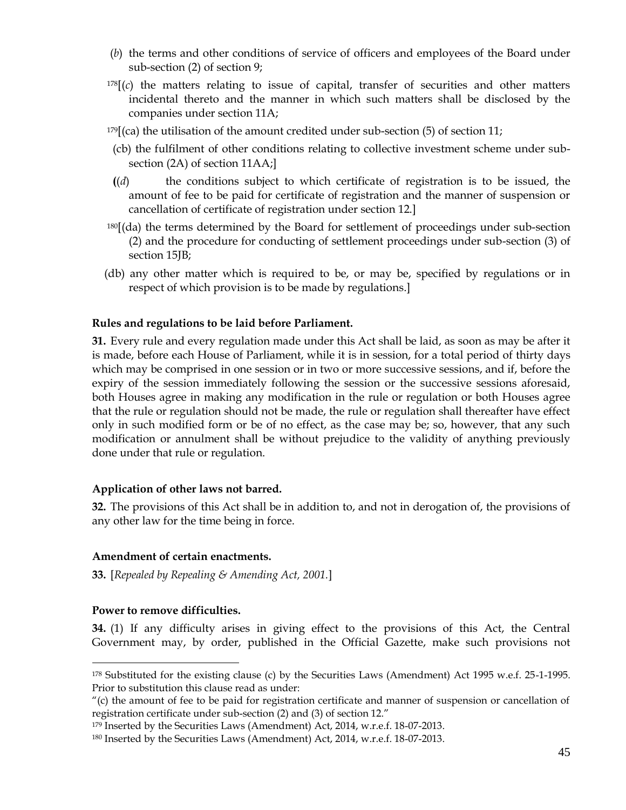- (*b*) the terms and other conditions of service of officers and employees of the Board under sub-section (2) of section 9;
- $178[(c)$  the matters relating to issue of capital, transfer of securities and other matters incidental thereto and the manner in which such matters shall be disclosed by the companies under section 11A;
- $179$ [(ca) the utilisation of the amount credited under sub-section (5) of section 11;
- (cb) the fulfilment of other conditions relating to collective investment scheme under subsection (2A) of section 11AA;]
- **(**(*d*) the conditions subject to which certificate of registration is to be issued, the amount of fee to be paid for certificate of registration and the manner of suspension or cancellation of certificate of registration under section 12.]
- <sup>180</sup>[(da) the terms determined by the Board for settlement of proceedings under sub-section (2) and the procedure for conducting of settlement proceedings under sub-section (3) of section 15JB;
- (db) any other matter which is required to be, or may be, specified by regulations or in respect of which provision is to be made by regulations.]

### **Rules and regulations to be laid before Parliament.**

**31.** Every rule and every regulation made under this Act shall be laid, as soon as may be after it is made, before each House of Parliament, while it is in session, for a total period of thirty days which may be comprised in one session or in two or more successive sessions, and if, before the expiry of the session immediately following the session or the successive sessions aforesaid, both Houses agree in making any modification in the rule or regulation or both Houses agree that the rule or regulation should not be made, the rule or regulation shall thereafter have effect only in such modified form or be of no effect, as the case may be; so, however, that any such modification or annulment shall be without prejudice to the validity of anything previously done under that rule or regulation.

#### **Application of other laws not barred.**

**32.** The provisions of this Act shall be in addition to, and not in derogation of, the provisions of any other law for the time being in force.

#### **Amendment of certain enactments.**

**33.** [*Repealed by Repealing & Amending Act, 2001.*]

#### **Power to remove difficulties.**

 $\overline{a}$ 

**34.** (1) If any difficulty arises in giving effect to the provisions of this Act, the Central Government may, by order, published in the Official Gazette, make such provisions not

<sup>178</sup> Substituted for the existing clause (c) by the Securities Laws (Amendment) Act 1995 w.e.f. 25-1-1995. Prior to substitution this clause read as under:

<sup>&</sup>quot;(c) the amount of fee to be paid for registration certificate and manner of suspension or cancellation of registration certificate under sub-section (2) and (3) of section 12."

<sup>179</sup> Inserted by the Securities Laws (Amendment) Act, 2014, w.r.e.f. 18-07-2013.

<sup>180</sup> Inserted by the Securities Laws (Amendment) Act, 2014, w.r.e.f. 18-07-2013.